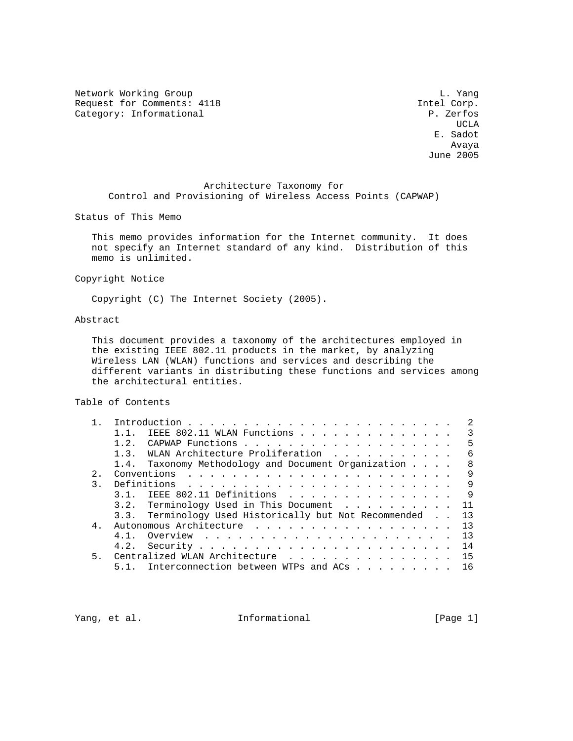Network Working Group and the contract of the contract of the contract of the contract of the contract of the contract of the contract of the contract of the contract of the contract of the contract of the contract of the Request for Comments: 4118 Intel Corp.<br>
Category: Informational P. Zerfos Category: Informational

UCLA AND LOCAL CONTRACT CONTRACT ON A STRUCK OF THE SECOND SECOND SECOND SECOND SECOND SECOND SECOND SECOND SECOND SECOND SECOND SECOND SECOND SECOND SECOND SECOND SECOND SECOND SECOND SECOND SECOND SECOND SECOND SECOND SE E. Sadot Avaya June 2005

 Architecture Taxonomy for Control and Provisioning of Wireless Access Points (CAPWAP)

Status of This Memo

 This memo provides information for the Internet community. It does not specify an Internet standard of any kind. Distribution of this memo is unlimited.

Copyright Notice

Copyright (C) The Internet Society (2005).

# Abstract

 This document provides a taxonomy of the architectures employed in the existing IEEE 802.11 products in the market, by analyzing Wireless LAN (WLAN) functions and services and describing the different variants in distributing these functions and services among the architectural entities.

Table of Contents

|    | $1\quad1$ | IEEE 802.11 WLAN Functions                             | 3  |
|----|-----------|--------------------------------------------------------|----|
|    |           |                                                        | 5  |
|    |           | 1.3. WLAN Architecture Proliferation                   | 6  |
|    |           | 1.4. Taxonomy Methodology and Document Organization    | 8  |
| 2. |           |                                                        | 9  |
|    |           |                                                        | 9  |
|    |           | 3.1. IEEE 802.11 Definitions<br>$\overline{9}$         |    |
|    |           | 3.2. Terminology Used in This Document 11              |    |
|    |           | 3.3. Terminology Used Historically but Not Recommended | 13 |
|    |           |                                                        | 13 |
|    |           |                                                        | 13 |
|    |           |                                                        |    |
| 5. |           | Centralized WLAN Architecture 15                       |    |
|    |           | 5.1. Interconnection between WTPs and ACs              | 16 |
|    |           |                                                        |    |

Yang, et al.  $I_n$  Informational [Page 1]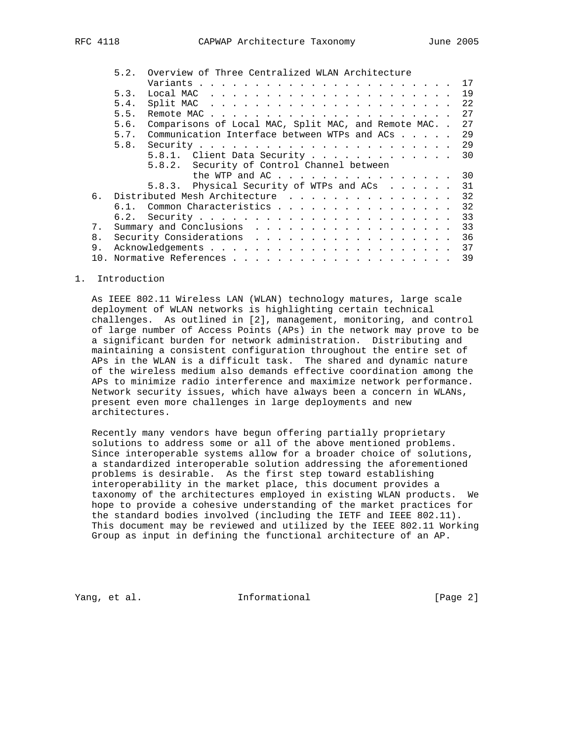|    | Overview of Three Centralized WLAN Architecture<br>5.2.           |
|----|-------------------------------------------------------------------|
|    | 17                                                                |
|    | 19<br>5.3.                                                        |
|    | 22<br>5.4.                                                        |
|    | 27<br>5.5.                                                        |
|    | 27<br>Comparisons of Local MAC, Split MAC, and Remote MAC<br>5.6. |
|    | 2.9<br>Communication Interface between WTPs and $ACs$<br>5.7.     |
|    | 29<br>5.8.                                                        |
|    | 30<br>5.8.1. Client Data Security                                 |
|    | 5.8.2. Security of Control Channel between                        |
|    | 30<br>the WTP and AC                                              |
|    | 31<br>5.8.3. Physical Security of WTPs and ACs                    |
|    | 6. Distributed Mesh Architecture 32                               |
|    | 32<br>6.1. Common Characteristics                                 |
|    | 33                                                                |
| 7. | 33                                                                |
| 8. | 36                                                                |
| 9. |                                                                   |
|    | 39                                                                |

### 1. Introduction

 As IEEE 802.11 Wireless LAN (WLAN) technology matures, large scale deployment of WLAN networks is highlighting certain technical challenges. As outlined in [2], management, monitoring, and control of large number of Access Points (APs) in the network may prove to be a significant burden for network administration. Distributing and maintaining a consistent configuration throughout the entire set of APs in the WLAN is a difficult task. The shared and dynamic nature of the wireless medium also demands effective coordination among the APs to minimize radio interference and maximize network performance. Network security issues, which have always been a concern in WLANs, present even more challenges in large deployments and new architectures.

 Recently many vendors have begun offering partially proprietary solutions to address some or all of the above mentioned problems. Since interoperable systems allow for a broader choice of solutions, a standardized interoperable solution addressing the aforementioned problems is desirable. As the first step toward establishing interoperability in the market place, this document provides a taxonomy of the architectures employed in existing WLAN products. We hope to provide a cohesive understanding of the market practices for the standard bodies involved (including the IETF and IEEE 802.11). This document may be reviewed and utilized by the IEEE 802.11 Working Group as input in defining the functional architecture of an AP.

Yang, et al. **Informational** [Page 2]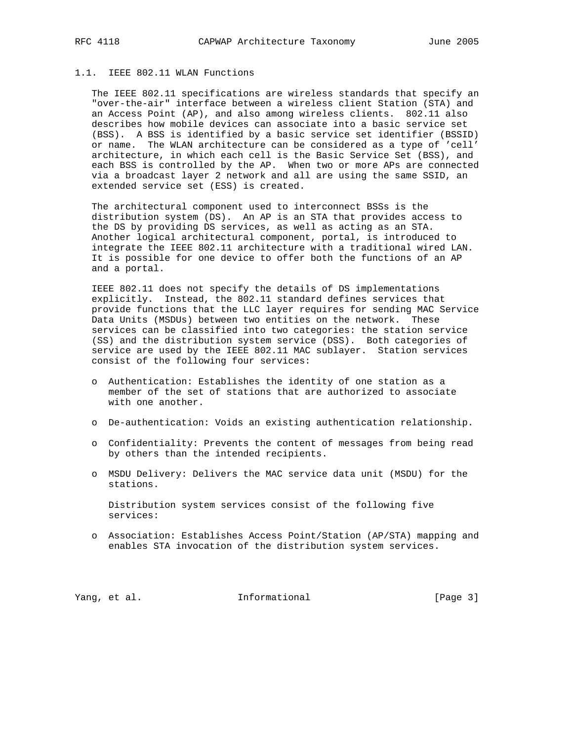# 1.1. IEEE 802.11 WLAN Functions

 The IEEE 802.11 specifications are wireless standards that specify an "over-the-air" interface between a wireless client Station (STA) and an Access Point (AP), and also among wireless clients. 802.11 also describes how mobile devices can associate into a basic service set (BSS). A BSS is identified by a basic service set identifier (BSSID) or name. The WLAN architecture can be considered as a type of 'cell' architecture, in which each cell is the Basic Service Set (BSS), and each BSS is controlled by the AP. When two or more APs are connected via a broadcast layer 2 network and all are using the same SSID, an extended service set (ESS) is created.

 The architectural component used to interconnect BSSs is the distribution system (DS). An AP is an STA that provides access to the DS by providing DS services, as well as acting as an STA. Another logical architectural component, portal, is introduced to integrate the IEEE 802.11 architecture with a traditional wired LAN. It is possible for one device to offer both the functions of an AP and a portal.

 IEEE 802.11 does not specify the details of DS implementations explicitly. Instead, the 802.11 standard defines services that provide functions that the LLC layer requires for sending MAC Service Data Units (MSDUs) between two entities on the network. These services can be classified into two categories: the station service (SS) and the distribution system service (DSS). Both categories of service are used by the IEEE 802.11 MAC sublayer. Station services consist of the following four services:

- o Authentication: Establishes the identity of one station as a member of the set of stations that are authorized to associate with one another.
- o De-authentication: Voids an existing authentication relationship.
- o Confidentiality: Prevents the content of messages from being read by others than the intended recipients.
- o MSDU Delivery: Delivers the MAC service data unit (MSDU) for the stations.

 Distribution system services consist of the following five services:

 o Association: Establishes Access Point/Station (AP/STA) mapping and enables STA invocation of the distribution system services.

Yang, et al. 100 Informational 100 [Page 3]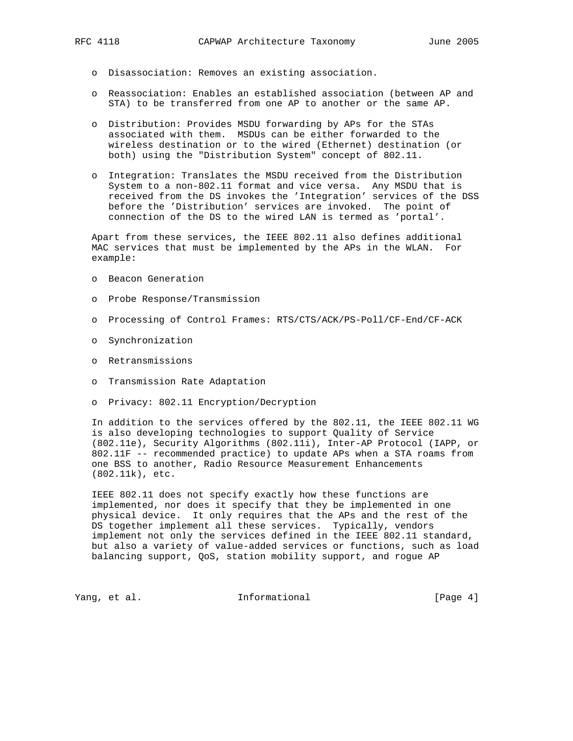- - o Disassociation: Removes an existing association.
	- o Reassociation: Enables an established association (between AP and STA) to be transferred from one AP to another or the same AP.
	- o Distribution: Provides MSDU forwarding by APs for the STAs associated with them. MSDUs can be either forwarded to the wireless destination or to the wired (Ethernet) destination (or both) using the "Distribution System" concept of 802.11.
	- o Integration: Translates the MSDU received from the Distribution System to a non-802.11 format and vice versa. Any MSDU that is received from the DS invokes the 'Integration' services of the DSS before the 'Distribution' services are invoked. The point of connection of the DS to the wired LAN is termed as 'portal'.

 Apart from these services, the IEEE 802.11 also defines additional MAC services that must be implemented by the APs in the WLAN. For example:

- o Beacon Generation
- o Probe Response/Transmission
- o Processing of Control Frames: RTS/CTS/ACK/PS-Poll/CF-End/CF-ACK
- o Synchronization
- o Retransmissions
- o Transmission Rate Adaptation
- o Privacy: 802.11 Encryption/Decryption

 In addition to the services offered by the 802.11, the IEEE 802.11 WG is also developing technologies to support Quality of Service (802.11e), Security Algorithms (802.11i), Inter-AP Protocol (IAPP, or 802.11F -- recommended practice) to update APs when a STA roams from one BSS to another, Radio Resource Measurement Enhancements (802.11k), etc.

 IEEE 802.11 does not specify exactly how these functions are implemented, nor does it specify that they be implemented in one physical device. It only requires that the APs and the rest of the DS together implement all these services. Typically, vendors implement not only the services defined in the IEEE 802.11 standard, but also a variety of value-added services or functions, such as load balancing support, QoS, station mobility support, and rogue AP

Yang, et al. **Informational** [Page 4]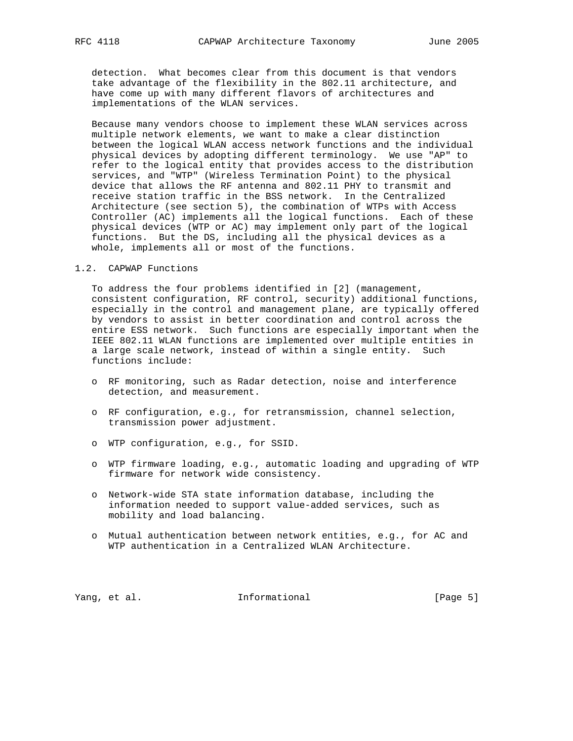detection. What becomes clear from this document is that vendors take advantage of the flexibility in the 802.11 architecture, and have come up with many different flavors of architectures and implementations of the WLAN services.

 Because many vendors choose to implement these WLAN services across multiple network elements, we want to make a clear distinction between the logical WLAN access network functions and the individual physical devices by adopting different terminology. We use "AP" to refer to the logical entity that provides access to the distribution services, and "WTP" (Wireless Termination Point) to the physical device that allows the RF antenna and 802.11 PHY to transmit and receive station traffic in the BSS network. In the Centralized Architecture (see section 5), the combination of WTPs with Access Controller (AC) implements all the logical functions. Each of these physical devices (WTP or AC) may implement only part of the logical functions. But the DS, including all the physical devices as a whole, implements all or most of the functions.

## 1.2. CAPWAP Functions

 To address the four problems identified in [2] (management, consistent configuration, RF control, security) additional functions, especially in the control and management plane, are typically offered by vendors to assist in better coordination and control across the entire ESS network. Such functions are especially important when the IEEE 802.11 WLAN functions are implemented over multiple entities in a large scale network, instead of within a single entity. Such functions include:

- o RF monitoring, such as Radar detection, noise and interference detection, and measurement.
- o RF configuration, e.g., for retransmission, channel selection, transmission power adjustment.
- o WTP configuration, e.g., for SSID.
- o WTP firmware loading, e.g., automatic loading and upgrading of WTP firmware for network wide consistency.
- o Network-wide STA state information database, including the information needed to support value-added services, such as mobility and load balancing.
- o Mutual authentication between network entities, e.g., for AC and WTP authentication in a Centralized WLAN Architecture.

Yang, et al. 100 Informational 100 Informational [Page 5]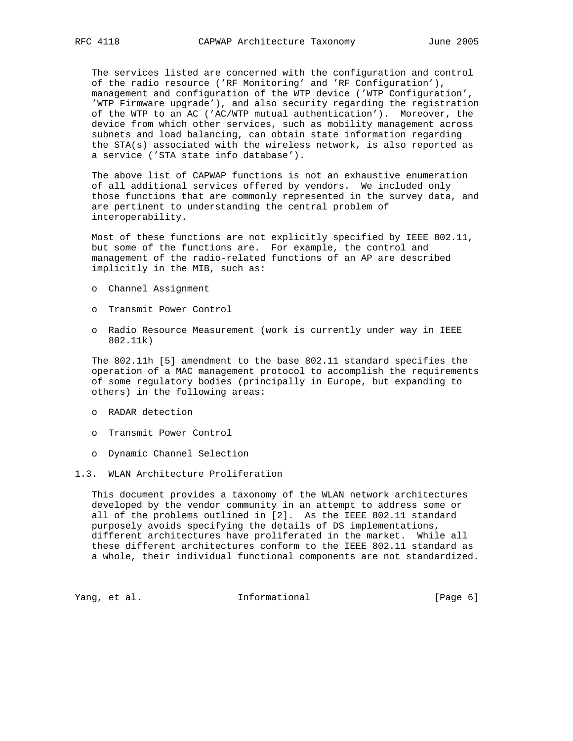The services listed are concerned with the configuration and control of the radio resource ('RF Monitoring' and 'RF Configuration'), management and configuration of the WTP device ('WTP Configuration', 'WTP Firmware upgrade'), and also security regarding the registration of the WTP to an AC ('AC/WTP mutual authentication'). Moreover, the device from which other services, such as mobility management across subnets and load balancing, can obtain state information regarding the STA(s) associated with the wireless network, is also reported as a service ('STA state info database').

 The above list of CAPWAP functions is not an exhaustive enumeration of all additional services offered by vendors. We included only those functions that are commonly represented in the survey data, and are pertinent to understanding the central problem of interoperability.

 Most of these functions are not explicitly specified by IEEE 802.11, but some of the functions are. For example, the control and management of the radio-related functions of an AP are described implicitly in the MIB, such as:

- o Channel Assignment
- o Transmit Power Control
- o Radio Resource Measurement (work is currently under way in IEEE 802.11k)

 The 802.11h [5] amendment to the base 802.11 standard specifies the operation of a MAC management protocol to accomplish the requirements of some regulatory bodies (principally in Europe, but expanding to others) in the following areas:

- o RADAR detection
- o Transmit Power Control
- o Dynamic Channel Selection

### 1.3. WLAN Architecture Proliferation

 This document provides a taxonomy of the WLAN network architectures developed by the vendor community in an attempt to address some or all of the problems outlined in [2]. As the IEEE 802.11 standard purposely avoids specifying the details of DS implementations, different architectures have proliferated in the market. While all these different architectures conform to the IEEE 802.11 standard as a whole, their individual functional components are not standardized.

Yang, et al. 10 Informational 10 [Page 6]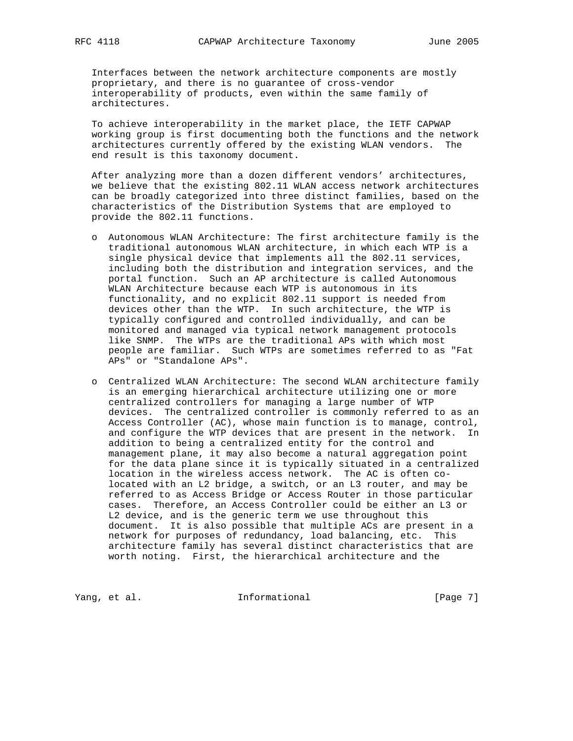Interfaces between the network architecture components are mostly proprietary, and there is no guarantee of cross-vendor interoperability of products, even within the same family of architectures.

 To achieve interoperability in the market place, the IETF CAPWAP working group is first documenting both the functions and the network architectures currently offered by the existing WLAN vendors. The end result is this taxonomy document.

 After analyzing more than a dozen different vendors' architectures, we believe that the existing 802.11 WLAN access network architectures can be broadly categorized into three distinct families, based on the characteristics of the Distribution Systems that are employed to provide the 802.11 functions.

- o Autonomous WLAN Architecture: The first architecture family is the traditional autonomous WLAN architecture, in which each WTP is a single physical device that implements all the 802.11 services, including both the distribution and integration services, and the portal function. Such an AP architecture is called Autonomous WLAN Architecture because each WTP is autonomous in its functionality, and no explicit 802.11 support is needed from devices other than the WTP. In such architecture, the WTP is typically configured and controlled individually, and can be monitored and managed via typical network management protocols like SNMP. The WTPs are the traditional APs with which most people are familiar. Such WTPs are sometimes referred to as "Fat APs" or "Standalone APs".
- o Centralized WLAN Architecture: The second WLAN architecture family is an emerging hierarchical architecture utilizing one or more centralized controllers for managing a large number of WTP devices. The centralized controller is commonly referred to as an Access Controller (AC), whose main function is to manage, control, and configure the WTP devices that are present in the network. In addition to being a centralized entity for the control and management plane, it may also become a natural aggregation point for the data plane since it is typically situated in a centralized location in the wireless access network. The AC is often co located with an L2 bridge, a switch, or an L3 router, and may be referred to as Access Bridge or Access Router in those particular cases. Therefore, an Access Controller could be either an L3 or L2 device, and is the generic term we use throughout this document. It is also possible that multiple ACs are present in a network for purposes of redundancy, load balancing, etc. This architecture family has several distinct characteristics that are worth noting. First, the hierarchical architecture and the

Yang, et al. 10. Informational 1. [Page 7]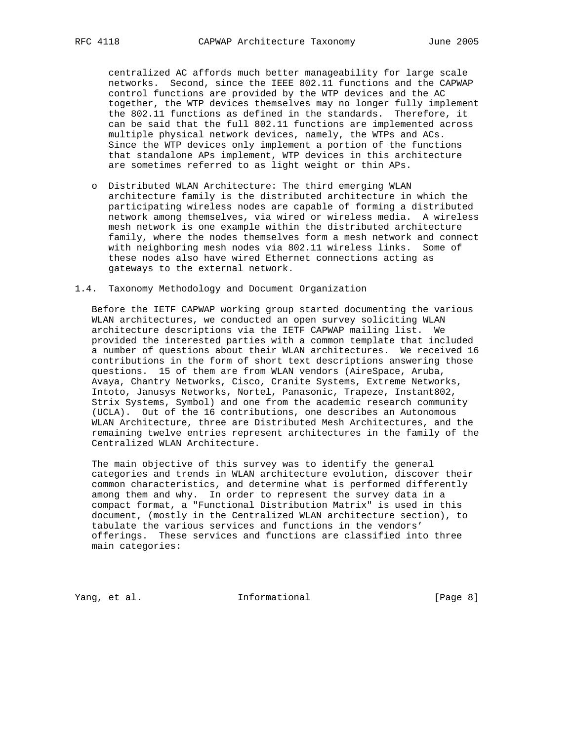centralized AC affords much better manageability for large scale networks. Second, since the IEEE 802.11 functions and the CAPWAP control functions are provided by the WTP devices and the AC together, the WTP devices themselves may no longer fully implement the 802.11 functions as defined in the standards. Therefore, it can be said that the full 802.11 functions are implemented across multiple physical network devices, namely, the WTPs and ACs. Since the WTP devices only implement a portion of the functions that standalone APs implement, WTP devices in this architecture are sometimes referred to as light weight or thin APs.

 o Distributed WLAN Architecture: The third emerging WLAN architecture family is the distributed architecture in which the participating wireless nodes are capable of forming a distributed network among themselves, via wired or wireless media. A wireless mesh network is one example within the distributed architecture family, where the nodes themselves form a mesh network and connect with neighboring mesh nodes via 802.11 wireless links. Some of these nodes also have wired Ethernet connections acting as gateways to the external network.

## 1.4. Taxonomy Methodology and Document Organization

 Before the IETF CAPWAP working group started documenting the various WLAN architectures, we conducted an open survey soliciting WLAN architecture descriptions via the IETF CAPWAP mailing list. We provided the interested parties with a common template that included a number of questions about their WLAN architectures. We received 16 contributions in the form of short text descriptions answering those questions. 15 of them are from WLAN vendors (AireSpace, Aruba, Avaya, Chantry Networks, Cisco, Cranite Systems, Extreme Networks, Intoto, Janusys Networks, Nortel, Panasonic, Trapeze, Instant802, Strix Systems, Symbol) and one from the academic research community (UCLA). Out of the 16 contributions, one describes an Autonomous WLAN Architecture, three are Distributed Mesh Architectures, and the remaining twelve entries represent architectures in the family of the Centralized WLAN Architecture.

 The main objective of this survey was to identify the general categories and trends in WLAN architecture evolution, discover their common characteristics, and determine what is performed differently among them and why. In order to represent the survey data in a compact format, a "Functional Distribution Matrix" is used in this document, (mostly in the Centralized WLAN architecture section), to tabulate the various services and functions in the vendors' offerings. These services and functions are classified into three main categories:

Yang, et al. 10 Informational 1999 [Page 8]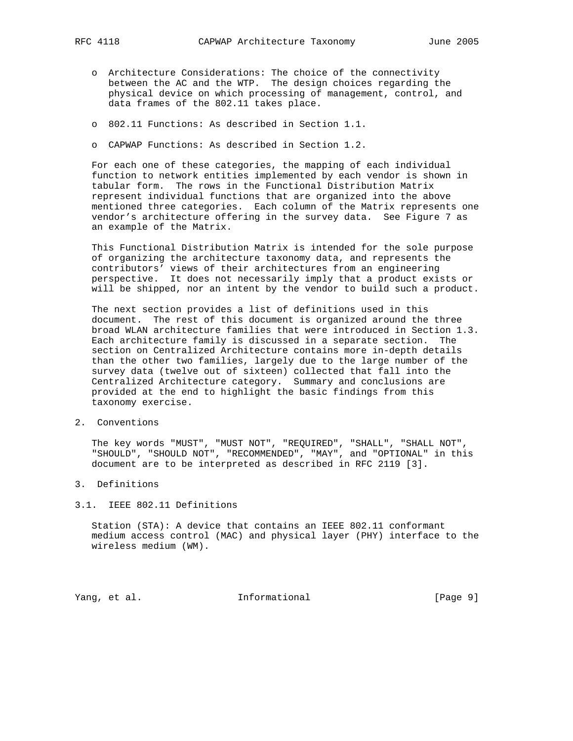- - o Architecture Considerations: The choice of the connectivity between the AC and the WTP. The design choices regarding the physical device on which processing of management, control, and data frames of the 802.11 takes place.
	- o 802.11 Functions: As described in Section 1.1.
	- o CAPWAP Functions: As described in Section 1.2.

 For each one of these categories, the mapping of each individual function to network entities implemented by each vendor is shown in tabular form. The rows in the Functional Distribution Matrix represent individual functions that are organized into the above mentioned three categories. Each column of the Matrix represents one vendor's architecture offering in the survey data. See Figure 7 as an example of the Matrix.

 This Functional Distribution Matrix is intended for the sole purpose of organizing the architecture taxonomy data, and represents the contributors' views of their architectures from an engineering perspective. It does not necessarily imply that a product exists or will be shipped, nor an intent by the vendor to build such a product.

 The next section provides a list of definitions used in this document. The rest of this document is organized around the three broad WLAN architecture families that were introduced in Section 1.3. Each architecture family is discussed in a separate section. The section on Centralized Architecture contains more in-depth details than the other two families, largely due to the large number of the survey data (twelve out of sixteen) collected that fall into the Centralized Architecture category. Summary and conclusions are provided at the end to highlight the basic findings from this taxonomy exercise.

2. Conventions

 The key words "MUST", "MUST NOT", "REQUIRED", "SHALL", "SHALL NOT", "SHOULD", "SHOULD NOT", "RECOMMENDED", "MAY", and "OPTIONAL" in this document are to be interpreted as described in RFC 2119 [3].

- 3. Definitions
- 3.1. IEEE 802.11 Definitions

 Station (STA): A device that contains an IEEE 802.11 conformant medium access control (MAC) and physical layer (PHY) interface to the wireless medium (WM).

Yang, et al. 10 Informational 1999 [Page 9]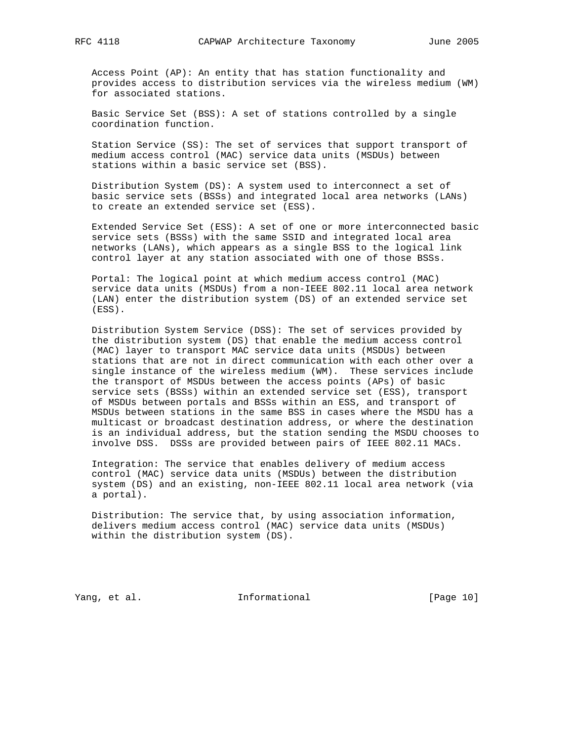Access Point (AP): An entity that has station functionality and provides access to distribution services via the wireless medium (WM) for associated stations.

 Basic Service Set (BSS): A set of stations controlled by a single coordination function.

 Station Service (SS): The set of services that support transport of medium access control (MAC) service data units (MSDUs) between stations within a basic service set (BSS).

 Distribution System (DS): A system used to interconnect a set of basic service sets (BSSs) and integrated local area networks (LANs) to create an extended service set (ESS).

 Extended Service Set (ESS): A set of one or more interconnected basic service sets (BSSs) with the same SSID and integrated local area networks (LANs), which appears as a single BSS to the logical link control layer at any station associated with one of those BSSs.

 Portal: The logical point at which medium access control (MAC) service data units (MSDUs) from a non-IEEE 802.11 local area network (LAN) enter the distribution system (DS) of an extended service set (ESS).

 Distribution System Service (DSS): The set of services provided by the distribution system (DS) that enable the medium access control (MAC) layer to transport MAC service data units (MSDUs) between stations that are not in direct communication with each other over a single instance of the wireless medium (WM). These services include the transport of MSDUs between the access points (APs) of basic service sets (BSSs) within an extended service set (ESS), transport of MSDUs between portals and BSSs within an ESS, and transport of MSDUs between stations in the same BSS in cases where the MSDU has a multicast or broadcast destination address, or where the destination is an individual address, but the station sending the MSDU chooses to involve DSS. DSSs are provided between pairs of IEEE 802.11 MACs.

 Integration: The service that enables delivery of medium access control (MAC) service data units (MSDUs) between the distribution system (DS) and an existing, non-IEEE 802.11 local area network (via a portal).

 Distribution: The service that, by using association information, delivers medium access control (MAC) service data units (MSDUs) within the distribution system (DS).

Yang, et al. 10 Informational 10 [Page 10]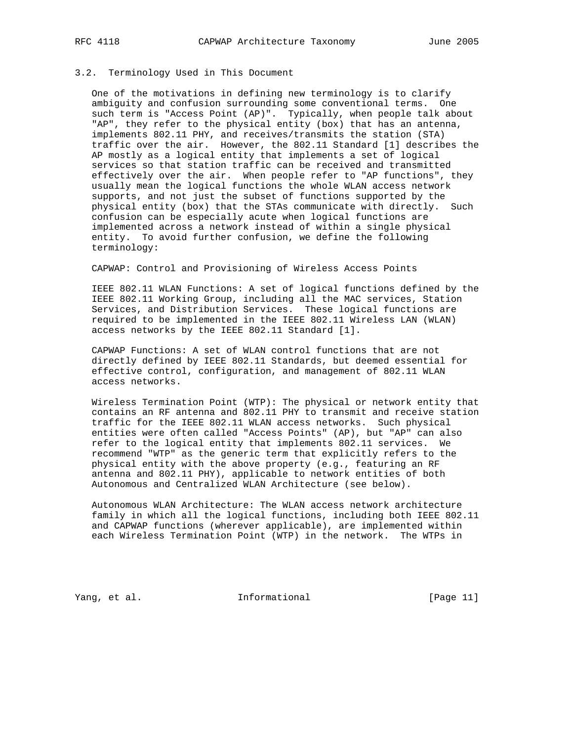# 3.2. Terminology Used in This Document

 One of the motivations in defining new terminology is to clarify ambiguity and confusion surrounding some conventional terms. One such term is "Access Point (AP)". Typically, when people talk about "AP", they refer to the physical entity (box) that has an antenna, implements 802.11 PHY, and receives/transmits the station (STA) traffic over the air. However, the 802.11 Standard [1] describes the AP mostly as a logical entity that implements a set of logical services so that station traffic can be received and transmitted effectively over the air. When people refer to "AP functions", they usually mean the logical functions the whole WLAN access network supports, and not just the subset of functions supported by the physical entity (box) that the STAs communicate with directly. Such confusion can be especially acute when logical functions are implemented across a network instead of within a single physical entity. To avoid further confusion, we define the following terminology:

CAPWAP: Control and Provisioning of Wireless Access Points

 IEEE 802.11 WLAN Functions: A set of logical functions defined by the IEEE 802.11 Working Group, including all the MAC services, Station Services, and Distribution Services. These logical functions are required to be implemented in the IEEE 802.11 Wireless LAN (WLAN) access networks by the IEEE 802.11 Standard [1].

 CAPWAP Functions: A set of WLAN control functions that are not directly defined by IEEE 802.11 Standards, but deemed essential for effective control, configuration, and management of 802.11 WLAN access networks.

 Wireless Termination Point (WTP): The physical or network entity that contains an RF antenna and 802.11 PHY to transmit and receive station traffic for the IEEE 802.11 WLAN access networks. Such physical entities were often called "Access Points" (AP), but "AP" can also refer to the logical entity that implements 802.11 services. We recommend "WTP" as the generic term that explicitly refers to the physical entity with the above property (e.g., featuring an RF antenna and 802.11 PHY), applicable to network entities of both Autonomous and Centralized WLAN Architecture (see below).

 Autonomous WLAN Architecture: The WLAN access network architecture family in which all the logical functions, including both IEEE 802.11 and CAPWAP functions (wherever applicable), are implemented within each Wireless Termination Point (WTP) in the network. The WTPs in

Yang, et al. 10. Informational 1. [Page 11]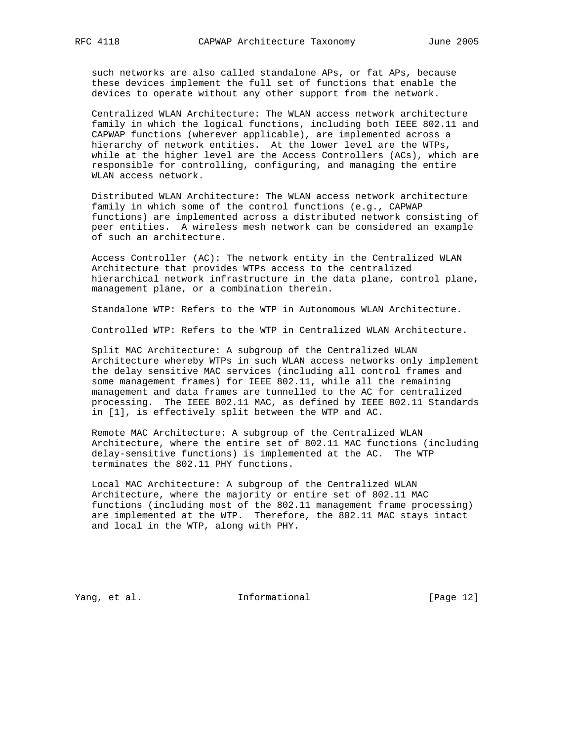such networks are also called standalone APs, or fat APs, because these devices implement the full set of functions that enable the devices to operate without any other support from the network.

 Centralized WLAN Architecture: The WLAN access network architecture family in which the logical functions, including both IEEE 802.11 and CAPWAP functions (wherever applicable), are implemented across a hierarchy of network entities. At the lower level are the WTPs, while at the higher level are the Access Controllers (ACs), which are responsible for controlling, configuring, and managing the entire WLAN access network.

 Distributed WLAN Architecture: The WLAN access network architecture family in which some of the control functions (e.g., CAPWAP functions) are implemented across a distributed network consisting of peer entities. A wireless mesh network can be considered an example of such an architecture.

 Access Controller (AC): The network entity in the Centralized WLAN Architecture that provides WTPs access to the centralized hierarchical network infrastructure in the data plane, control plane, management plane, or a combination therein.

Standalone WTP: Refers to the WTP in Autonomous WLAN Architecture.

Controlled WTP: Refers to the WTP in Centralized WLAN Architecture.

 Split MAC Architecture: A subgroup of the Centralized WLAN Architecture whereby WTPs in such WLAN access networks only implement the delay sensitive MAC services (including all control frames and some management frames) for IEEE 802.11, while all the remaining management and data frames are tunnelled to the AC for centralized processing. The IEEE 802.11 MAC, as defined by IEEE 802.11 Standards in [1], is effectively split between the WTP and AC.

 Remote MAC Architecture: A subgroup of the Centralized WLAN Architecture, where the entire set of 802.11 MAC functions (including delay-sensitive functions) is implemented at the AC. The WTP terminates the 802.11 PHY functions.

 Local MAC Architecture: A subgroup of the Centralized WLAN Architecture, where the majority or entire set of 802.11 MAC functions (including most of the 802.11 management frame processing) are implemented at the WTP. Therefore, the 802.11 MAC stays intact and local in the WTP, along with PHY.

Yang, et al. 100 Informational 100 [Page 12]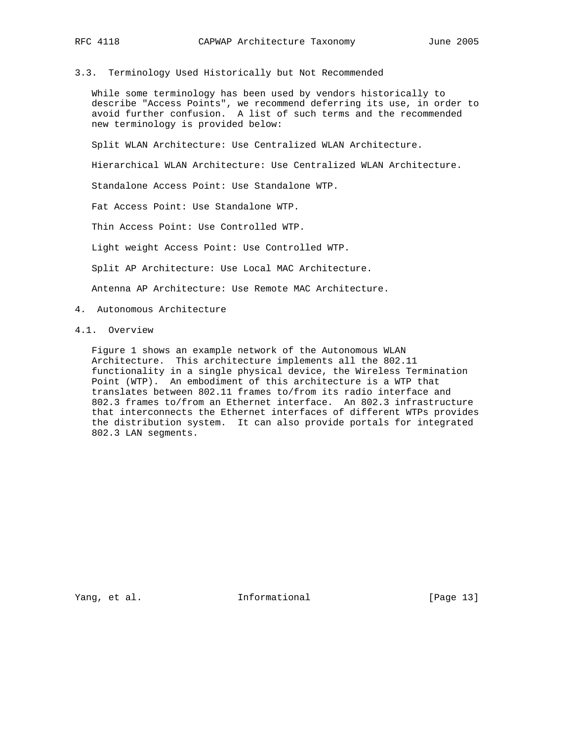3.3. Terminology Used Historically but Not Recommended

 While some terminology has been used by vendors historically to describe "Access Points", we recommend deferring its use, in order to avoid further confusion. A list of such terms and the recommended new terminology is provided below:

Split WLAN Architecture: Use Centralized WLAN Architecture.

Hierarchical WLAN Architecture: Use Centralized WLAN Architecture.

Standalone Access Point: Use Standalone WTP.

Fat Access Point: Use Standalone WTP.

Thin Access Point: Use Controlled WTP.

Light weight Access Point: Use Controlled WTP.

Split AP Architecture: Use Local MAC Architecture.

Antenna AP Architecture: Use Remote MAC Architecture.

- 4. Autonomous Architecture
- 4.1. Overview

 Figure 1 shows an example network of the Autonomous WLAN Architecture. This architecture implements all the 802.11 functionality in a single physical device, the Wireless Termination Point (WTP). An embodiment of this architecture is a WTP that translates between 802.11 frames to/from its radio interface and 802.3 frames to/from an Ethernet interface. An 802.3 infrastructure that interconnects the Ethernet interfaces of different WTPs provides the distribution system. It can also provide portals for integrated 802.3 LAN segments.

Yang, et al. 10. Informational 1. [Page 13]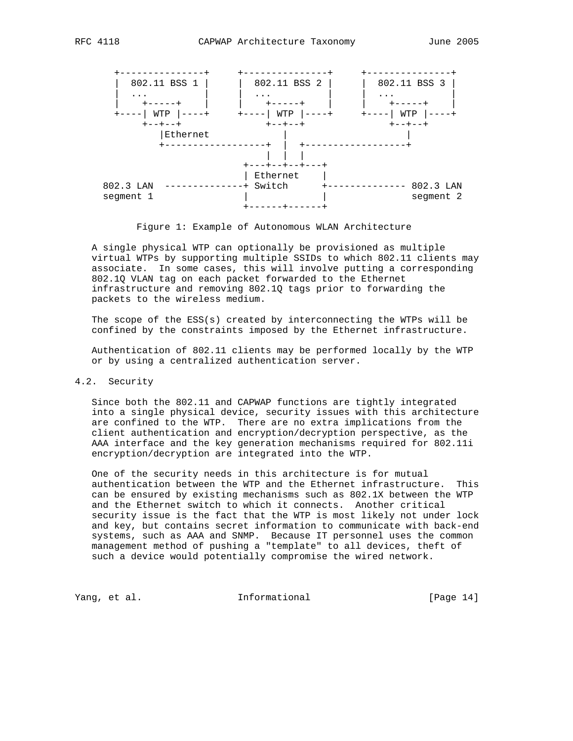

Figure 1: Example of Autonomous WLAN Architecture

 A single physical WTP can optionally be provisioned as multiple virtual WTPs by supporting multiple SSIDs to which 802.11 clients may associate. In some cases, this will involve putting a corresponding 802.1Q VLAN tag on each packet forwarded to the Ethernet infrastructure and removing 802.1Q tags prior to forwarding the packets to the wireless medium.

 The scope of the ESS(s) created by interconnecting the WTPs will be confined by the constraints imposed by the Ethernet infrastructure.

 Authentication of 802.11 clients may be performed locally by the WTP or by using a centralized authentication server.

# 4.2. Security

 Since both the 802.11 and CAPWAP functions are tightly integrated into a single physical device, security issues with this architecture are confined to the WTP. There are no extra implications from the client authentication and encryption/decryption perspective, as the AAA interface and the key generation mechanisms required for 802.11i encryption/decryption are integrated into the WTP.

 One of the security needs in this architecture is for mutual authentication between the WTP and the Ethernet infrastructure. This can be ensured by existing mechanisms such as 802.1X between the WTP and the Ethernet switch to which it connects. Another critical security issue is the fact that the WTP is most likely not under lock and key, but contains secret information to communicate with back-end systems, such as AAA and SNMP. Because IT personnel uses the common management method of pushing a "template" to all devices, theft of such a device would potentially compromise the wired network.

Yang, et al. 10 Informational 1999 [Page 14]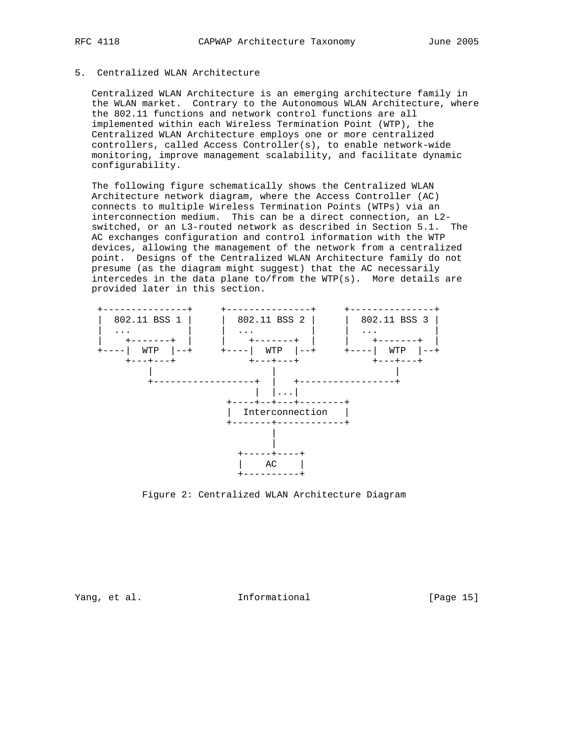# 5. Centralized WLAN Architecture

 Centralized WLAN Architecture is an emerging architecture family in the WLAN market. Contrary to the Autonomous WLAN Architecture, where the 802.11 functions and network control functions are all implemented within each Wireless Termination Point (WTP), the Centralized WLAN Architecture employs one or more centralized controllers, called Access Controller(s), to enable network-wide monitoring, improve management scalability, and facilitate dynamic configurability.

 The following figure schematically shows the Centralized WLAN Architecture network diagram, where the Access Controller (AC) connects to multiple Wireless Termination Points (WTPs) via an interconnection medium. This can be a direct connection, an L2 switched, or an L3-routed network as described in Section 5.1. The AC exchanges configuration and control information with the WTP devices, allowing the management of the network from a centralized point. Designs of the Centralized WLAN Architecture family do not presume (as the diagram might suggest) that the AC necessarily intercedes in the data plane to/from the WTP(s). More details are provided later in this section.



Figure 2: Centralized WLAN Architecture Diagram

Yang, et al. 10. Informational 1. [Page 15]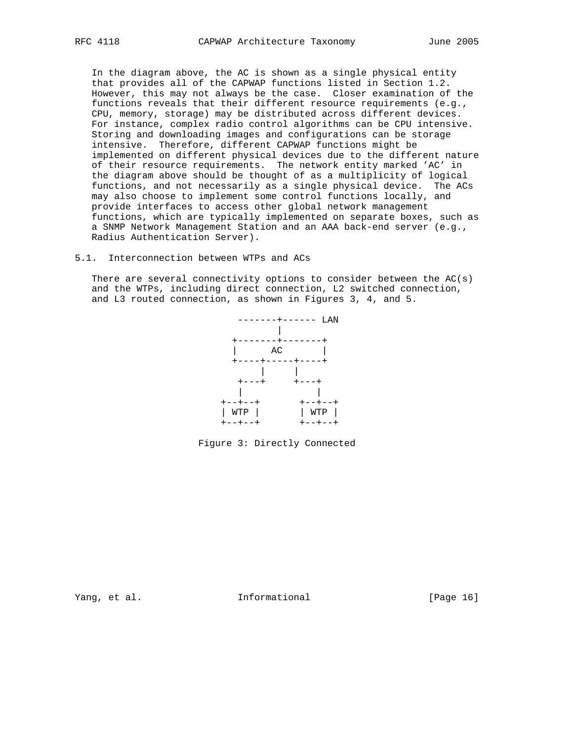In the diagram above, the AC is shown as a single physical entity that provides all of the CAPWAP functions listed in Section 1.2. However, this may not always be the case. Closer examination of the functions reveals that their different resource requirements (e.g., CPU, memory, storage) may be distributed across different devices. For instance, complex radio control algorithms can be CPU intensive. Storing and downloading images and configurations can be storage intensive. Therefore, different CAPWAP functions might be implemented on different physical devices due to the different nature of their resource requirements. The network entity marked 'AC' in the diagram above should be thought of as a multiplicity of logical functions, and not necessarily as a single physical device. The ACs may also choose to implement some control functions locally, and provide interfaces to access other global network management functions, which are typically implemented on separate boxes, such as a SNMP Network Management Station and an AAA back-end server (e.g., Radius Authentication Server).

## 5.1. Interconnection between WTPs and ACs

There are several connectivity options to consider between the  $AC(s)$  and the WTPs, including direct connection, L2 switched connection, and L3 routed connection, as shown in Figures 3, 4, and 5.



Figure 3: Directly Connected

Yang, et al. 10 Informational 1999 [Page 16]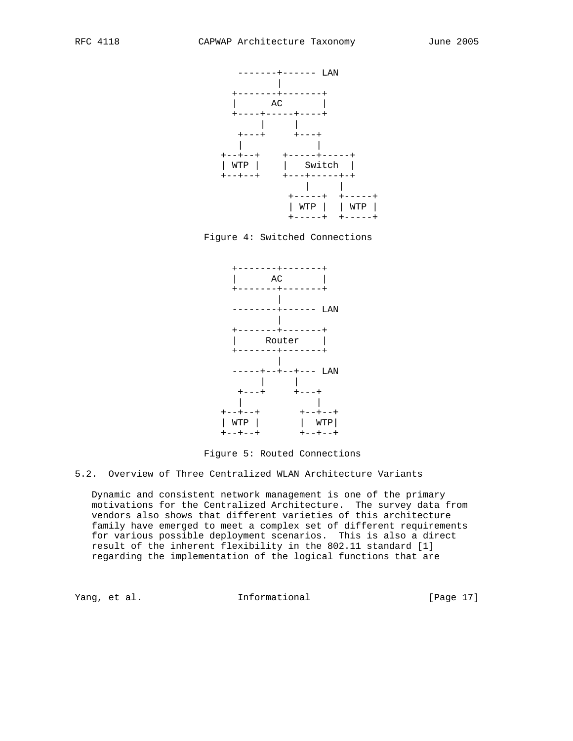





Figure 5: Routed Connections

5.2. Overview of Three Centralized WLAN Architecture Variants

 Dynamic and consistent network management is one of the primary motivations for the Centralized Architecture. The survey data from vendors also shows that different varieties of this architecture family have emerged to meet a complex set of different requirements for various possible deployment scenarios. This is also a direct result of the inherent flexibility in the 802.11 standard [1] regarding the implementation of the logical functions that are

Yang, et al. 10 Informational 1999 [Page 17]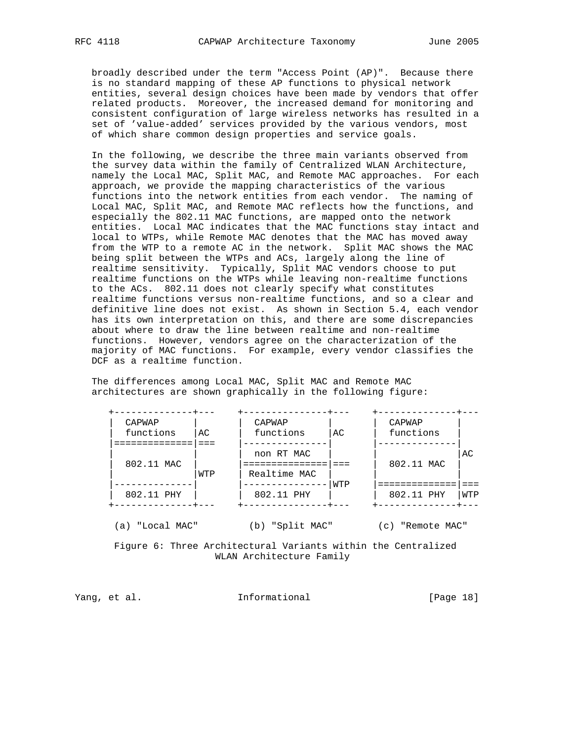broadly described under the term "Access Point (AP)". Because there is no standard mapping of these AP functions to physical network entities, several design choices have been made by vendors that offer related products. Moreover, the increased demand for monitoring and consistent configuration of large wireless networks has resulted in a set of 'value-added' services provided by the various vendors, most of which share common design properties and service goals.

 In the following, we describe the three main variants observed from the survey data within the family of Centralized WLAN Architecture, namely the Local MAC, Split MAC, and Remote MAC approaches. For each approach, we provide the mapping characteristics of the various functions into the network entities from each vendor. The naming of Local MAC, Split MAC, and Remote MAC reflects how the functions, and especially the 802.11 MAC functions, are mapped onto the network entities. Local MAC indicates that the MAC functions stay intact and local to WTPs, while Remote MAC denotes that the MAC has moved away from the WTP to a remote AC in the network. Split MAC shows the MAC being split between the WTPs and ACs, largely along the line of realtime sensitivity. Typically, Split MAC vendors choose to put realtime functions on the WTPs while leaving non-realtime functions to the ACs. 802.11 does not clearly specify what constitutes realtime functions versus non-realtime functions, and so a clear and definitive line does not exist. As shown in Section 5.4, each vendor has its own interpretation on this, and there are some discrepancies about where to draw the line between realtime and non-realtime functions. However, vendors agree on the characterization of the majority of MAC functions. For example, every vendor classifies the DCF as a realtime function.

 The differences among Local MAC, Split MAC and Remote MAC architectures are shown graphically in the following figure:

| CAPWAP     |     | CAPWAP       |     | CAPWAP     |     |
|------------|-----|--------------|-----|------------|-----|
| functions  | AC  | functions    | AC  | functions  |     |
|            |     |              |     |            |     |
|            |     | non RT MAC   |     |            | AC  |
| 802.11 MAC |     |              |     | 802.11 MAC |     |
|            | WTP | Realtime MAC |     |            |     |
|            |     |              | WTP |            |     |
| 802.11 PHY |     | 802.11 PHY   |     | 802.11 PHY | WTP |

(a) "Local MAC" (b) "Split MAC" (c) "Remote MAC"

 Figure 6: Three Architectural Variants within the Centralized WLAN Architecture Family

Yang, et al. 10. Informational 1. [Page 18]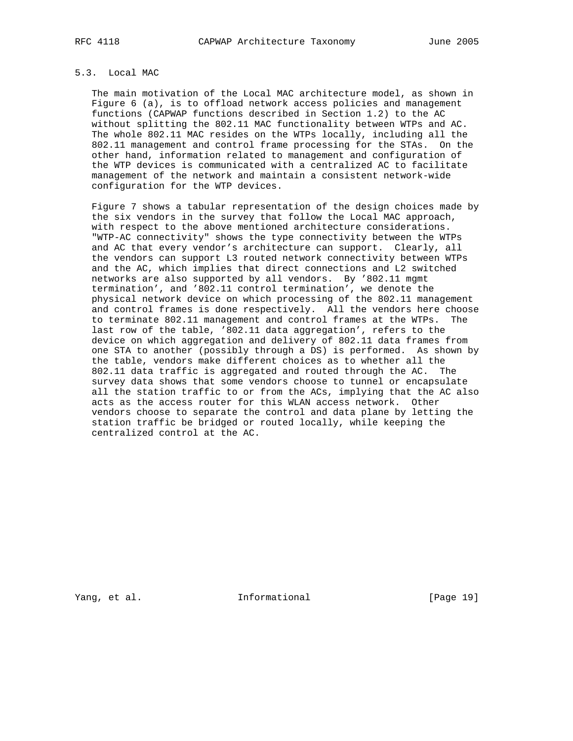# 5.3. Local MAC

 The main motivation of the Local MAC architecture model, as shown in Figure 6 (a), is to offload network access policies and management functions (CAPWAP functions described in Section 1.2) to the AC without splitting the 802.11 MAC functionality between WTPs and AC. The whole 802.11 MAC resides on the WTPs locally, including all the 802.11 management and control frame processing for the STAs. On the other hand, information related to management and configuration of the WTP devices is communicated with a centralized AC to facilitate management of the network and maintain a consistent network-wide configuration for the WTP devices.

 Figure 7 shows a tabular representation of the design choices made by the six vendors in the survey that follow the Local MAC approach, with respect to the above mentioned architecture considerations. "WTP-AC connectivity" shows the type connectivity between the WTPs and AC that every vendor's architecture can support. Clearly, all the vendors can support L3 routed network connectivity between WTPs and the AC, which implies that direct connections and L2 switched networks are also supported by all vendors. By '802.11 mgmt termination', and '802.11 control termination', we denote the physical network device on which processing of the 802.11 management and control frames is done respectively. All the vendors here choose to terminate 802.11 management and control frames at the WTPs. The last row of the table, '802.11 data aggregation', refers to the device on which aggregation and delivery of 802.11 data frames from one STA to another (possibly through a DS) is performed. As shown by the table, vendors make different choices as to whether all the 802.11 data traffic is aggregated and routed through the AC. The survey data shows that some vendors choose to tunnel or encapsulate all the station traffic to or from the ACs, implying that the AC also acts as the access router for this WLAN access network. Other vendors choose to separate the control and data plane by letting the station traffic be bridged or routed locally, while keeping the centralized control at the AC.

Yang, et al. 10 1nformational 19 [Page 19]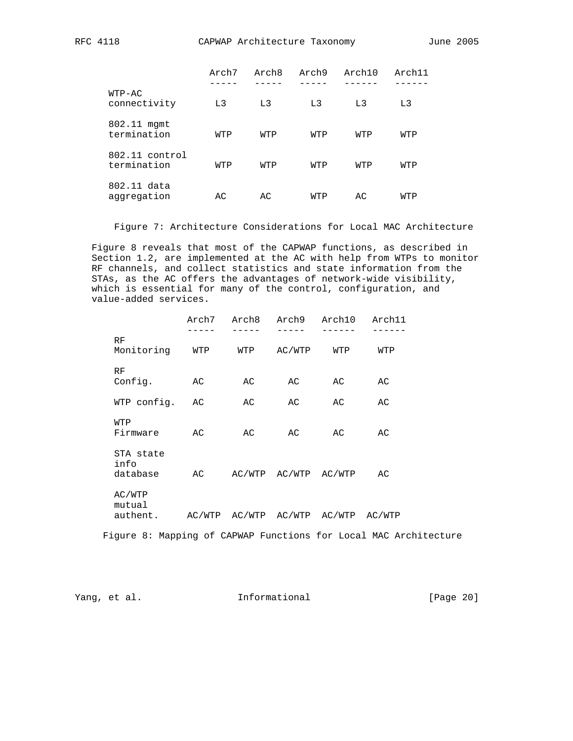|                               | Arch7          | Arch8          | Arch9          | Arch10         | Arch11         |
|-------------------------------|----------------|----------------|----------------|----------------|----------------|
| $WTP-AC$<br>connectivity      | L <sub>3</sub> | L <sub>3</sub> | L <sub>3</sub> | L <sub>3</sub> | L <sub>3</sub> |
| 802.11 mgmt<br>termination    | WTP            | WTP            | WTP            | WTP            | WTP            |
| 802.11 control<br>termination | WTP            | WTP            | WTP            | WTP            | WTP            |
| 802.11 data<br>aggregation    | AC             | AC             | WTP            | AC             | WTP            |

Figure 7: Architecture Considerations for Local MAC Architecture

 Figure 8 reveals that most of the CAPWAP functions, as described in Section 1.2, are implemented at the AC with help from WTPs to monitor RF channels, and collect statistics and state information from the STAs, as the AC offers the advantages of network-wide visibility, which is essential for many of the control, configuration, and value-added services.

|      |                              | Arch7  | Arch8  | Arch9                | Arch10 | Arch11 |
|------|------------------------------|--------|--------|----------------------|--------|--------|
| RF   | Monitoring                   | WTP    | WTP    | AC/WTP               | WTP    | WTP    |
| RF   | Config.                      | АC     | AC     | АC                   | AC     | АC     |
|      | WTP config.                  | АC     | AC     | AC                   | AC     | AC     |
| WTP  | Firmware                     | AC     | AC     | AC                   | AC     | AC     |
| info | STA state<br>database        | AC     |        | AC/WTP AC/WTP AC/WTP |        | AC     |
|      | AC/WTP<br>mutual<br>authent. | AC/WTP | AC/WTP | AC/WTP               | AC/WTP | AC/WTP |

Figure 8: Mapping of CAPWAP Functions for Local MAC Architecture

Yang, et al. 100 Informational 100 [Page 20]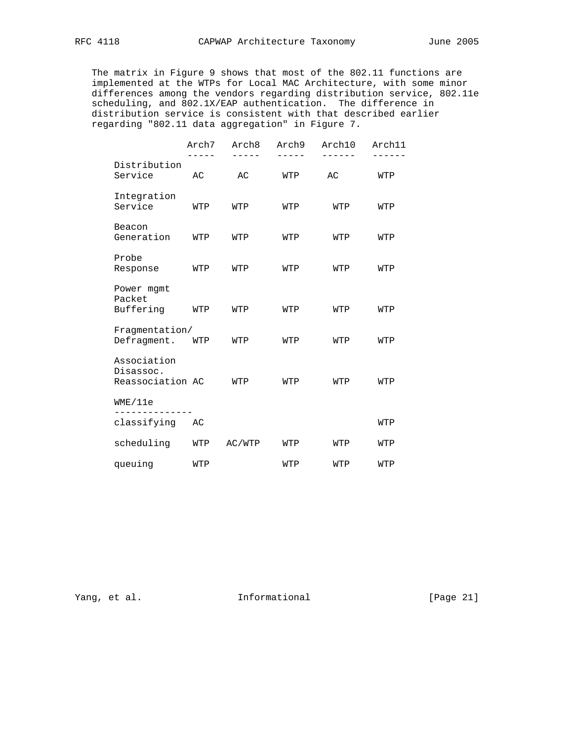The matrix in Figure 9 shows that most of the 802.11 functions are implemented at the WTPs for Local MAC Architecture, with some minor differences among the vendors regarding distribution service, 802.11e scheduling, and 802.1X/EAP authentication. The difference in distribution service is consistent with that described earlier regarding "802.11 data aggregation" in Figure 7.

|                                              | Arch7 | Arch8  | Arch9 | Arch10 | Arch11 |
|----------------------------------------------|-------|--------|-------|--------|--------|
| Distribution<br>Service                      | AC    | AC     | WTP   | AC     | WTP    |
| Integration<br>Service                       | WTP   | WTP    | WTP   | WTP    | WTP    |
| Beacon<br>Generation                         | WTP   | WTP    | WTP   | WTP    | WTP    |
| Probe<br>Response                            | WTP   | WTP    | WTP   | WTP    | WTP    |
| Power mgmt<br>Packet<br>Buffering            | WTP   | WTP    | WTP   | WTP    | WTP    |
| Fragmentation/<br>Defragment.                | WTP   | WTP    | WTP   | WTP    | WTP    |
| Association<br>Disassoc.<br>Reassociation AC |       | WTP    | WTP   | WTP    | WTP    |
| WME/11e                                      |       |        |       |        |        |
| classifying                                  | AC    |        |       |        | WTP    |
| scheduling                                   | WTP   | AC/WTP | WTP   | WTP    | WTP    |
| queuing                                      | WTP   |        | WTP   | WTP    | WTP    |

Yang, et al. 1nformational [Page 21]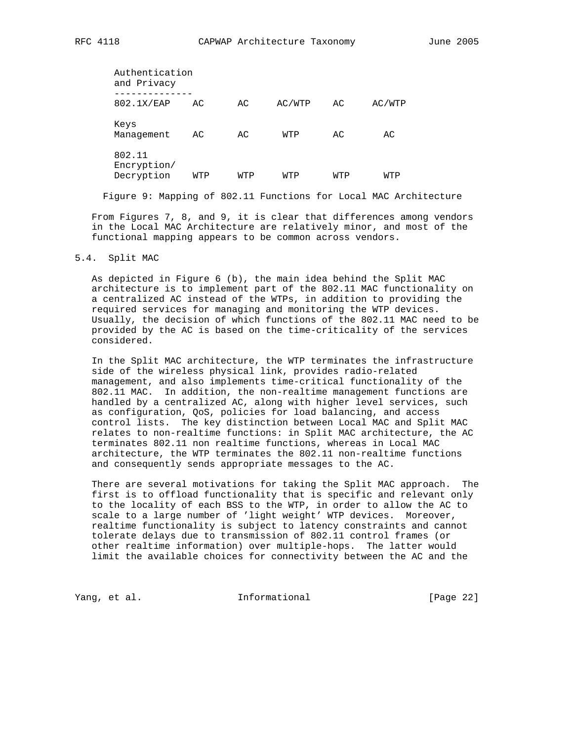| RFC | 118 |
|-----|-----|
|-----|-----|

| Authentication<br>and Privacy       |     |     |        |     |        |  |  |  |  |  |
|-------------------------------------|-----|-----|--------|-----|--------|--|--|--|--|--|
| 802.1X/EAP                          | AC. | AC. | AC/WTP | AC. | AC/WTP |  |  |  |  |  |
| Keys<br>Management                  | AC  | АC  | WTP    | АC  | AC     |  |  |  |  |  |
| 802.11<br>Encryption/<br>Decryption | WTP | WTP | WTP    | WTP | WTP    |  |  |  |  |  |

Figure 9: Mapping of 802.11 Functions for Local MAC Architecture

 From Figures 7, 8, and 9, it is clear that differences among vendors in the Local MAC Architecture are relatively minor, and most of the functional mapping appears to be common across vendors.

## 5.4. Split MAC

 As depicted in Figure 6 (b), the main idea behind the Split MAC architecture is to implement part of the 802.11 MAC functionality on a centralized AC instead of the WTPs, in addition to providing the required services for managing and monitoring the WTP devices. Usually, the decision of which functions of the 802.11 MAC need to be provided by the AC is based on the time-criticality of the services considered.

 In the Split MAC architecture, the WTP terminates the infrastructure side of the wireless physical link, provides radio-related management, and also implements time-critical functionality of the 802.11 MAC. In addition, the non-realtime management functions are handled by a centralized AC, along with higher level services, such as configuration, QoS, policies for load balancing, and access control lists. The key distinction between Local MAC and Split MAC relates to non-realtime functions: in Split MAC architecture, the AC terminates 802.11 non realtime functions, whereas in Local MAC architecture, the WTP terminates the 802.11 non-realtime functions and consequently sends appropriate messages to the AC.

 There are several motivations for taking the Split MAC approach. The first is to offload functionality that is specific and relevant only to the locality of each BSS to the WTP, in order to allow the AC to scale to a large number of 'light weight' WTP devices. Moreover, realtime functionality is subject to latency constraints and cannot tolerate delays due to transmission of 802.11 control frames (or other realtime information) over multiple-hops. The latter would limit the available choices for connectivity between the AC and the

Yang, et al. 10 Informational 11 [Page 22]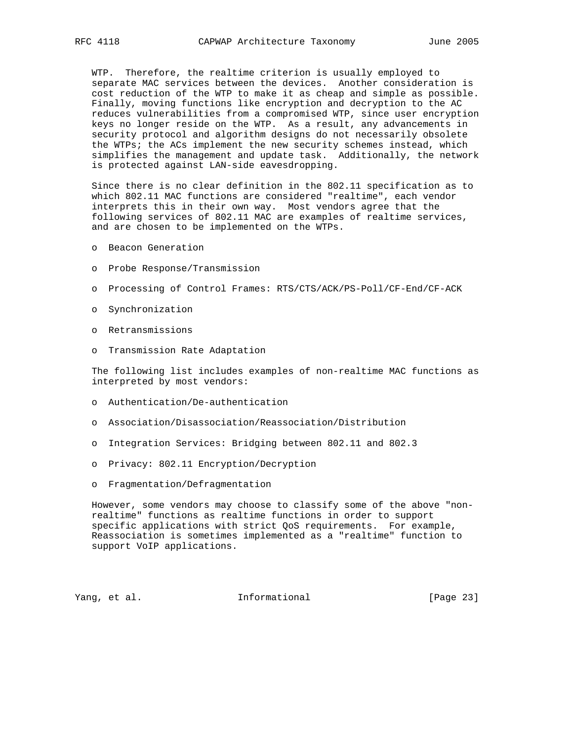WTP. Therefore, the realtime criterion is usually employed to separate MAC services between the devices. Another consideration is cost reduction of the WTP to make it as cheap and simple as possible. Finally, moving functions like encryption and decryption to the AC reduces vulnerabilities from a compromised WTP, since user encryption keys no longer reside on the WTP. As a result, any advancements in security protocol and algorithm designs do not necessarily obsolete the WTPs; the ACs implement the new security schemes instead, which simplifies the management and update task. Additionally, the network is protected against LAN-side eavesdropping.

 Since there is no clear definition in the 802.11 specification as to which 802.11 MAC functions are considered "realtime", each vendor interprets this in their own way. Most vendors agree that the following services of 802.11 MAC are examples of realtime services, and are chosen to be implemented on the WTPs.

- o Beacon Generation
- o Probe Response/Transmission
- o Processing of Control Frames: RTS/CTS/ACK/PS-Poll/CF-End/CF-ACK
- o Synchronization
- o Retransmissions
- o Transmission Rate Adaptation

 The following list includes examples of non-realtime MAC functions as interpreted by most vendors:

- o Authentication/De-authentication
- o Association/Disassociation/Reassociation/Distribution
- o Integration Services: Bridging between 802.11 and 802.3
- o Privacy: 802.11 Encryption/Decryption
- o Fragmentation/Defragmentation

 However, some vendors may choose to classify some of the above "non realtime" functions as realtime functions in order to support specific applications with strict QoS requirements. For example, Reassociation is sometimes implemented as a "realtime" function to support VoIP applications.

Yang, et al. **Informational** [Page 23]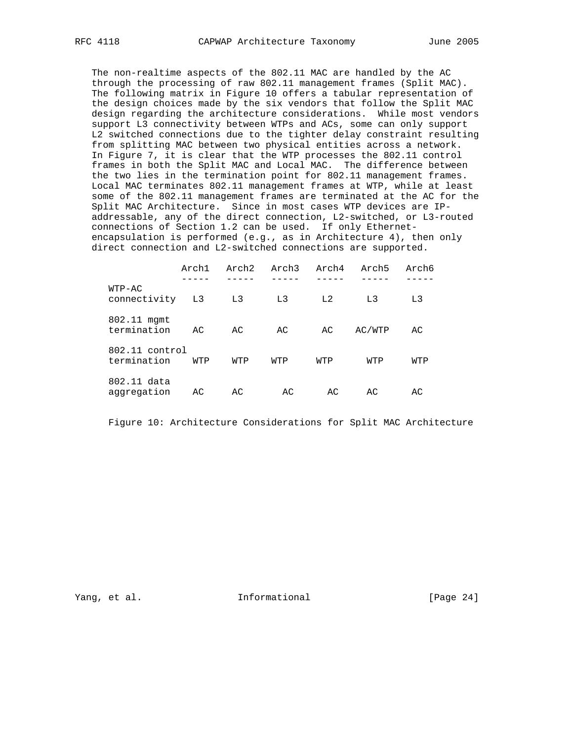The non-realtime aspects of the 802.11 MAC are handled by the AC through the processing of raw 802.11 management frames (Split MAC). The following matrix in Figure 10 offers a tabular representation of the design choices made by the six vendors that follow the Split MAC design regarding the architecture considerations. While most vendors support L3 connectivity between WTPs and ACs, some can only support L2 switched connections due to the tighter delay constraint resulting from splitting MAC between two physical entities across a network. In Figure 7, it is clear that the WTP processes the 802.11 control frames in both the Split MAC and Local MAC. The difference between the two lies in the termination point for 802.11 management frames. Local MAC terminates 802.11 management frames at WTP, while at least some of the 802.11 management frames are terminated at the AC for the Split MAC Architecture. Since in most cases WTP devices are IP addressable, any of the direct connection, L2-switched, or L3-routed connections of Section 1.2 can be used. If only Ethernet encapsulation is performed (e.g., as in Architecture 4), then only direct connection and L2-switched connections are supported.

|                               | Arch1 | Arch2 | Arch3          | Arch4 | Arch5  | Arch6 |
|-------------------------------|-------|-------|----------------|-------|--------|-------|
| $WTP-AC$<br>connectivity      | L3    | L3    | L <sub>3</sub> | L2    | L3     | L3    |
| 802.11 mgmt<br>termination    | AC    | AC    | AC             | AC    | AC/WTP | AC    |
| 802.11 control<br>termination | WTP   | WTP   | WTP            | WTP   | WTP    | WTP   |
| 802.11 data<br>aggregation    | AC    | AC    | AC.            | AC    | AC     | AC    |

Figure 10: Architecture Considerations for Split MAC Architecture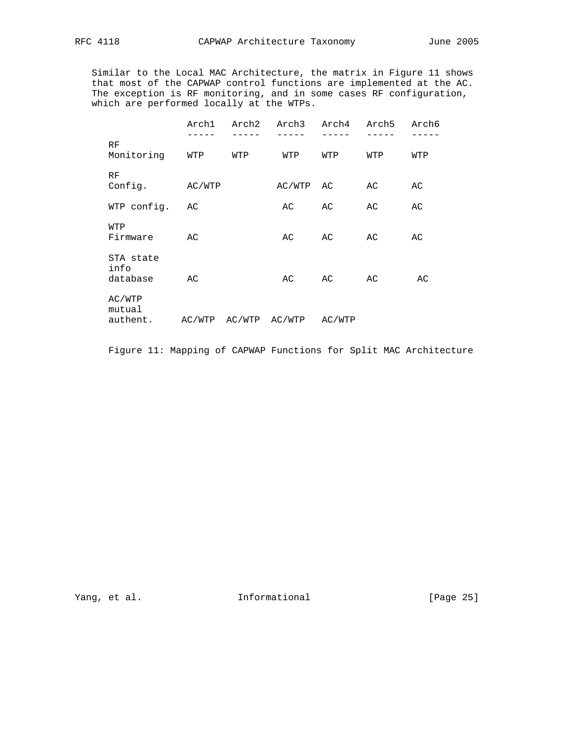Similar to the Local MAC Architecture, the matrix in Figure 11 shows that most of the CAPWAP control functions are implemented at the AC. The exception is RF monitoring, and in some cases RF configuration, which are performed locally at the WTPs.

|                               | Arch1  | Arch2         | Arch3  | Arch4  | Arch5 | Arch6 |
|-------------------------------|--------|---------------|--------|--------|-------|-------|
| RF<br>Monitoring              | WTP    | WTP           | WTP    | WTP    | WTP   | WTP   |
| RF<br>Config.                 | AC/WTP |               | AC/WTP | AC     | AC    | AC    |
| WTP config.                   | AC     |               | AC     | AC     | AC    | AC    |
| WTP<br>Firmware               | AC     |               | AC     | AC     | АC    | AC    |
| STA state<br>info<br>database | AC     |               | AC     | AC     | AC    | AC    |
| AC/WTP<br>mutual<br>authent.  |        | AC/WTP AC/WTP | AC/WTP | AC/WTP |       |       |

Figure 11: Mapping of CAPWAP Functions for Split MAC Architecture

Yang, et al. 1nformational [Page 25]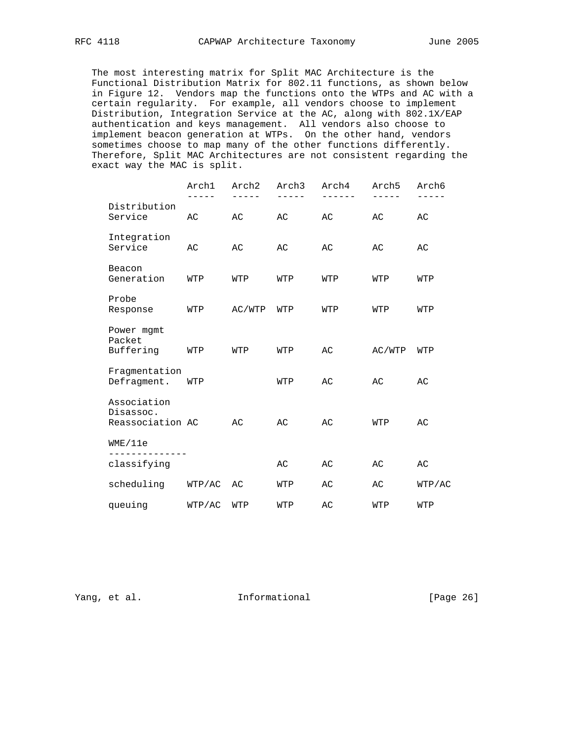The most interesting matrix for Split MAC Architecture is the Functional Distribution Matrix for 802.11 functions, as shown below in Figure 12. Vendors map the functions onto the WTPs and AC with a certain regularity. For example, all vendors choose to implement Distribution, Integration Service at the AC, along with 802.1X/EAP authentication and keys management. All vendors also choose to implement beacon generation at WTPs. On the other hand, vendors sometimes choose to map many of the other functions differently. Therefore, Split MAC Architectures are not consistent regarding the exact way the MAC is split.

|                                              | Arch1  | Arch2  | Arch3 | Arch4 | Arch5  | Arch6  |
|----------------------------------------------|--------|--------|-------|-------|--------|--------|
| Distribution<br>Service                      | AC     | AC     | AC    | AC    | AC     | AC     |
| Integration<br>Service                       | AC     | АC     | АC    | АC    | AC     | АC     |
| Beacon<br>Generation                         | WTP    | WTP    | WTP   | WTP   | WTP    | WTP    |
| Probe<br>Response                            | WTP    | AC/WTP | WTP   | WTP   | WTP    | WTP    |
| Power mgmt<br>Packet<br>Buffering            | WTP    | WTP    | WTP   | AC    | AC/WTP | WTP    |
| Fragmentation<br>Defragment.                 | WTP    |        | WTP   | AC    | AC     | AC     |
| Association<br>Disassoc.<br>Reassociation AC |        | AC     | AC    | AC    | WTP    | AC     |
| WME/11e                                      |        |        |       |       |        |        |
| classifying                                  |        |        | AC    | AC    | AC     | AC     |
| scheduling                                   | WTP/AC | AC     | WTP   | AC    | AC     | WTP/AC |
| queuing                                      | WTP/AC | WTP    | WTP   | AC    | WTP    | WTP    |

Yang, et al. 100 Informational 100 Informational [Page 26]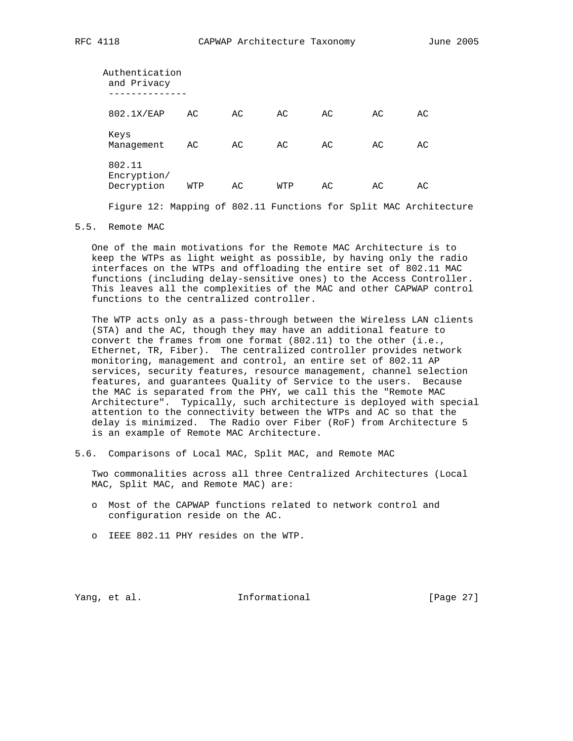| Authentication<br>and Privacy       |     |    |     |    |    |    |
|-------------------------------------|-----|----|-----|----|----|----|
| 802.1X/EAP                          | AC  | AC | AC  | AC | AC | AC |
| Keys<br>Management                  | AC  | AC | AC  | AC | AC | АC |
| 802.11<br>Encryption/<br>Decryption | WTP | АC | WTP | AC | AC | AC |
|                                     |     |    |     |    |    |    |

Figure 12: Mapping of 802.11 Functions for Split MAC Architecture

5.5. Remote MAC

 One of the main motivations for the Remote MAC Architecture is to keep the WTPs as light weight as possible, by having only the radio interfaces on the WTPs and offloading the entire set of 802.11 MAC functions (including delay-sensitive ones) to the Access Controller. This leaves all the complexities of the MAC and other CAPWAP control functions to the centralized controller.

 The WTP acts only as a pass-through between the Wireless LAN clients (STA) and the AC, though they may have an additional feature to convert the frames from one format (802.11) to the other (i.e., Ethernet, TR, Fiber). The centralized controller provides network monitoring, management and control, an entire set of 802.11 AP services, security features, resource management, channel selection features, and guarantees Quality of Service to the users. Because the MAC is separated from the PHY, we call this the "Remote MAC Architecture". Typically, such architecture is deployed with special attention to the connectivity between the WTPs and AC so that the delay is minimized. The Radio over Fiber (RoF) from Architecture 5 is an example of Remote MAC Architecture.

5.6. Comparisons of Local MAC, Split MAC, and Remote MAC

 Two commonalities across all three Centralized Architectures (Local MAC, Split MAC, and Remote MAC) are:

- o Most of the CAPWAP functions related to network control and configuration reside on the AC.
- o IEEE 802.11 PHY resides on the WTP.

Yang, et al. 100 Informational 100 [Page 27]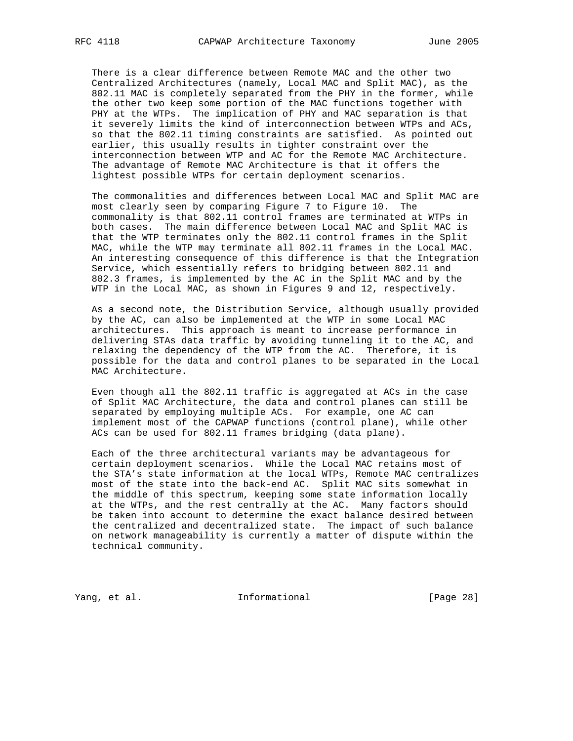There is a clear difference between Remote MAC and the other two Centralized Architectures (namely, Local MAC and Split MAC), as the 802.11 MAC is completely separated from the PHY in the former, while the other two keep some portion of the MAC functions together with PHY at the WTPs. The implication of PHY and MAC separation is that it severely limits the kind of interconnection between WTPs and ACs, so that the 802.11 timing constraints are satisfied. As pointed out earlier, this usually results in tighter constraint over the interconnection between WTP and AC for the Remote MAC Architecture. The advantage of Remote MAC Architecture is that it offers the lightest possible WTPs for certain deployment scenarios.

 The commonalities and differences between Local MAC and Split MAC are most clearly seen by comparing Figure 7 to Figure 10. The commonality is that 802.11 control frames are terminated at WTPs in both cases. The main difference between Local MAC and Split MAC is that the WTP terminates only the 802.11 control frames in the Split MAC, while the WTP may terminate all 802.11 frames in the Local MAC. An interesting consequence of this difference is that the Integration Service, which essentially refers to bridging between 802.11 and 802.3 frames, is implemented by the AC in the Split MAC and by the WTP in the Local MAC, as shown in Figures 9 and 12, respectively.

 As a second note, the Distribution Service, although usually provided by the AC, can also be implemented at the WTP in some Local MAC architectures. This approach is meant to increase performance in delivering STAs data traffic by avoiding tunneling it to the AC, and relaxing the dependency of the WTP from the AC. Therefore, it is possible for the data and control planes to be separated in the Local MAC Architecture.

 Even though all the 802.11 traffic is aggregated at ACs in the case of Split MAC Architecture, the data and control planes can still be separated by employing multiple ACs. For example, one AC can implement most of the CAPWAP functions (control plane), while other ACs can be used for 802.11 frames bridging (data plane).

 Each of the three architectural variants may be advantageous for certain deployment scenarios. While the Local MAC retains most of the STA's state information at the local WTPs, Remote MAC centralizes most of the state into the back-end AC. Split MAC sits somewhat in the middle of this spectrum, keeping some state information locally at the WTPs, and the rest centrally at the AC. Many factors should be taken into account to determine the exact balance desired between the centralized and decentralized state. The impact of such balance on network manageability is currently a matter of dispute within the technical community.

Yang, et al. 10. Informational 1. [Page 28]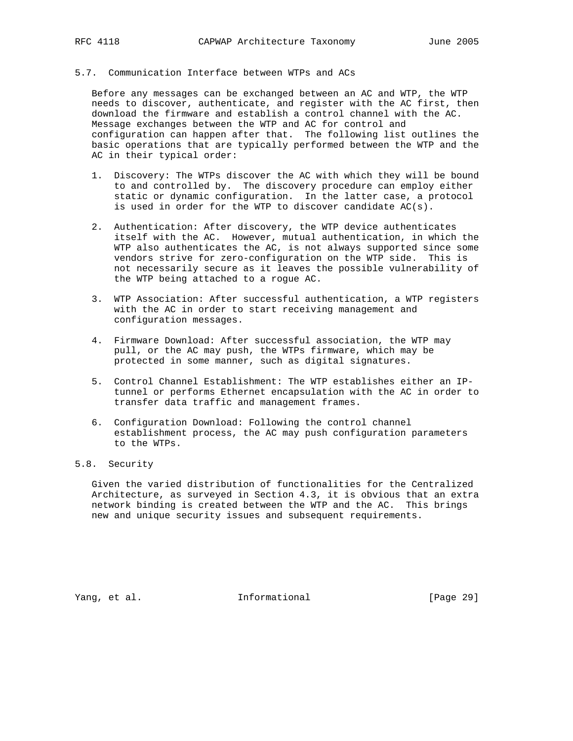# 5.7. Communication Interface between WTPs and ACs

 Before any messages can be exchanged between an AC and WTP, the WTP needs to discover, authenticate, and register with the AC first, then download the firmware and establish a control channel with the AC. Message exchanges between the WTP and AC for control and configuration can happen after that. The following list outlines the basic operations that are typically performed between the WTP and the AC in their typical order:

- 1. Discovery: The WTPs discover the AC with which they will be bound to and controlled by. The discovery procedure can employ either static or dynamic configuration. In the latter case, a protocol is used in order for the WTP to discover candidate AC(s).
- 2. Authentication: After discovery, the WTP device authenticates itself with the AC. However, mutual authentication, in which the WTP also authenticates the AC, is not always supported since some vendors strive for zero-configuration on the WTP side. This is not necessarily secure as it leaves the possible vulnerability of the WTP being attached to a rogue AC.
- 3. WTP Association: After successful authentication, a WTP registers with the AC in order to start receiving management and configuration messages.
- 4. Firmware Download: After successful association, the WTP may pull, or the AC may push, the WTPs firmware, which may be protected in some manner, such as digital signatures.
- 5. Control Channel Establishment: The WTP establishes either an IP tunnel or performs Ethernet encapsulation with the AC in order to transfer data traffic and management frames.
- 6. Configuration Download: Following the control channel establishment process, the AC may push configuration parameters to the WTPs.

# 5.8. Security

 Given the varied distribution of functionalities for the Centralized Architecture, as surveyed in Section 4.3, it is obvious that an extra network binding is created between the WTP and the AC. This brings new and unique security issues and subsequent requirements.

Yang, et al. 10. Informational 1. [Page 29]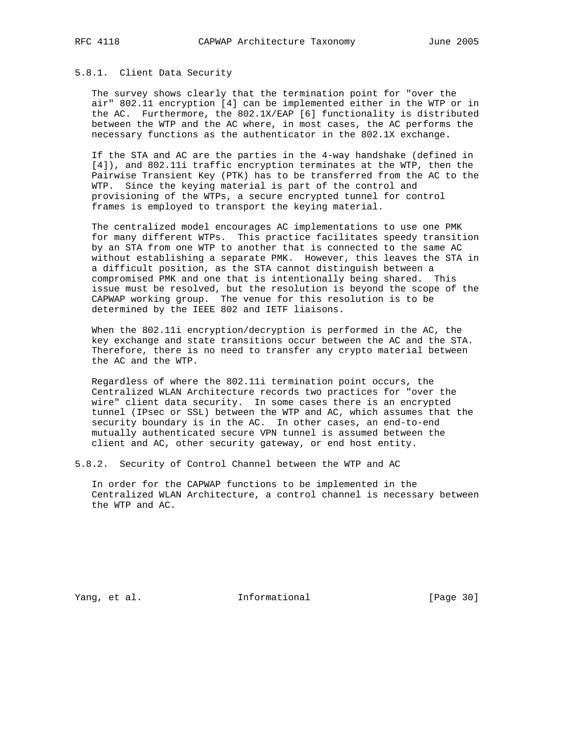## 5.8.1. Client Data Security

 The survey shows clearly that the termination point for "over the air" 802.11 encryption [4] can be implemented either in the WTP or in the AC. Furthermore, the 802.1X/EAP [6] functionality is distributed between the WTP and the AC where, in most cases, the AC performs the necessary functions as the authenticator in the 802.1X exchange.

 If the STA and AC are the parties in the 4-way handshake (defined in [4]), and 802.11i traffic encryption terminates at the WTP, then the Pairwise Transient Key (PTK) has to be transferred from the AC to the WTP. Since the keying material is part of the control and provisioning of the WTPs, a secure encrypted tunnel for control frames is employed to transport the keying material.

 The centralized model encourages AC implementations to use one PMK for many different WTPs. This practice facilitates speedy transition by an STA from one WTP to another that is connected to the same AC without establishing a separate PMK. However, this leaves the STA in a difficult position, as the STA cannot distinguish between a compromised PMK and one that is intentionally being shared. This issue must be resolved, but the resolution is beyond the scope of the CAPWAP working group. The venue for this resolution is to be determined by the IEEE 802 and IETF liaisons.

 When the 802.11i encryption/decryption is performed in the AC, the key exchange and state transitions occur between the AC and the STA. Therefore, there is no need to transfer any crypto material between the AC and the WTP.

 Regardless of where the 802.11i termination point occurs, the Centralized WLAN Architecture records two practices for "over the wire" client data security. In some cases there is an encrypted tunnel (IPsec or SSL) between the WTP and AC, which assumes that the security boundary is in the AC. In other cases, an end-to-end mutually authenticated secure VPN tunnel is assumed between the client and AC, other security gateway, or end host entity.

5.8.2. Security of Control Channel between the WTP and AC

 In order for the CAPWAP functions to be implemented in the Centralized WLAN Architecture, a control channel is necessary between the WTP and AC.

Yang, et al. 100 Informational 100 [Page 30]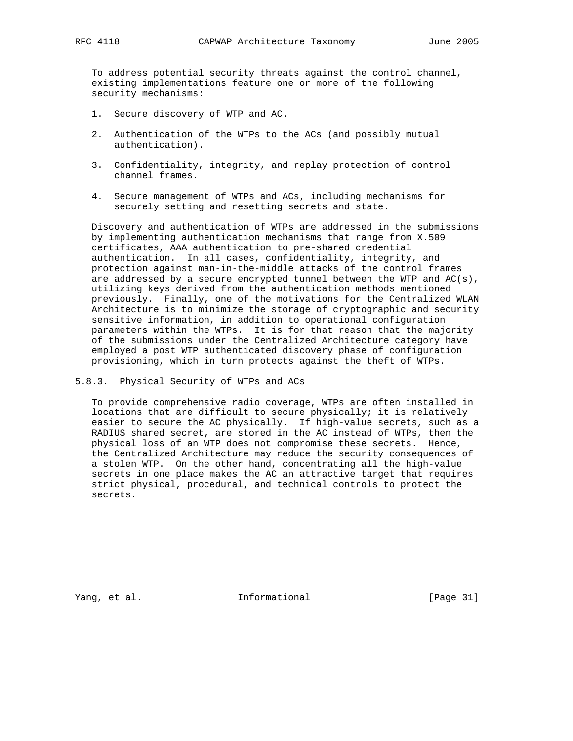To address potential security threats against the control channel, existing implementations feature one or more of the following security mechanisms:

- 1. Secure discovery of WTP and AC.
- 2. Authentication of the WTPs to the ACs (and possibly mutual authentication).
- 3. Confidentiality, integrity, and replay protection of control channel frames.
- 4. Secure management of WTPs and ACs, including mechanisms for securely setting and resetting secrets and state.

 Discovery and authentication of WTPs are addressed in the submissions by implementing authentication mechanisms that range from X.509 certificates, AAA authentication to pre-shared credential authentication. In all cases, confidentiality, integrity, and protection against man-in-the-middle attacks of the control frames are addressed by a secure encrypted tunnel between the WTP and  $AC(s)$ , utilizing keys derived from the authentication methods mentioned previously. Finally, one of the motivations for the Centralized WLAN Architecture is to minimize the storage of cryptographic and security sensitive information, in addition to operational configuration parameters within the WTPs. It is for that reason that the majority of the submissions under the Centralized Architecture category have employed a post WTP authenticated discovery phase of configuration provisioning, which in turn protects against the theft of WTPs.

5.8.3. Physical Security of WTPs and ACs

 To provide comprehensive radio coverage, WTPs are often installed in locations that are difficult to secure physically; it is relatively easier to secure the AC physically. If high-value secrets, such as a RADIUS shared secret, are stored in the AC instead of WTPs, then the physical loss of an WTP does not compromise these secrets. Hence, the Centralized Architecture may reduce the security consequences of a stolen WTP. On the other hand, concentrating all the high-value secrets in one place makes the AC an attractive target that requires strict physical, procedural, and technical controls to protect the secrets.

Yang, et al. 10. Informational 1. [Page 31]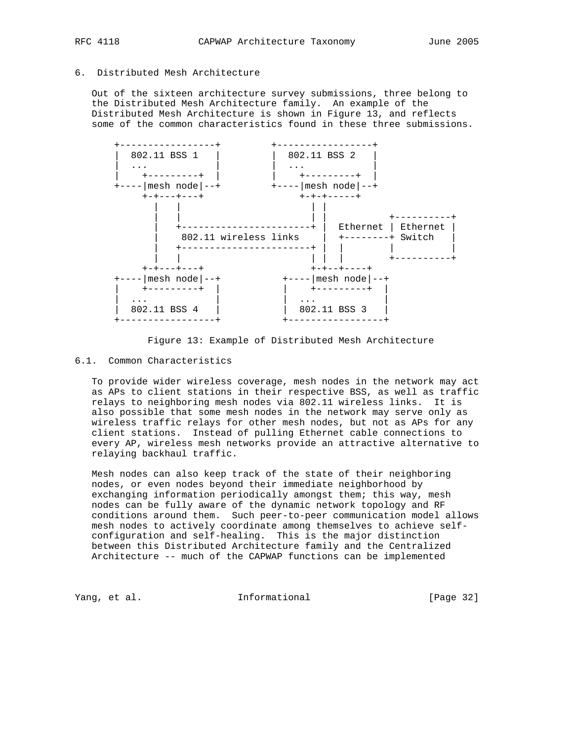6. Distributed Mesh Architecture

 Out of the sixteen architecture survey submissions, three belong to the Distributed Mesh Architecture family. An example of the Distributed Mesh Architecture is shown in Figure 13, and reflects some of the common characteristics found in these three submissions.



Figure 13: Example of Distributed Mesh Architecture

## 6.1. Common Characteristics

 To provide wider wireless coverage, mesh nodes in the network may act as APs to client stations in their respective BSS, as well as traffic relays to neighboring mesh nodes via 802.11 wireless links. It is also possible that some mesh nodes in the network may serve only as wireless traffic relays for other mesh nodes, but not as APs for any client stations. Instead of pulling Ethernet cable connections to every AP, wireless mesh networks provide an attractive alternative to relaying backhaul traffic.

 Mesh nodes can also keep track of the state of their neighboring nodes, or even nodes beyond their immediate neighborhood by exchanging information periodically amongst them; this way, mesh nodes can be fully aware of the dynamic network topology and RF conditions around them. Such peer-to-peer communication model allows mesh nodes to actively coordinate among themselves to achieve self configuration and self-healing. This is the major distinction between this Distributed Architecture family and the Centralized Architecture -- much of the CAPWAP functions can be implemented

Yang, et al. 10 Informational 1999 [Page 32]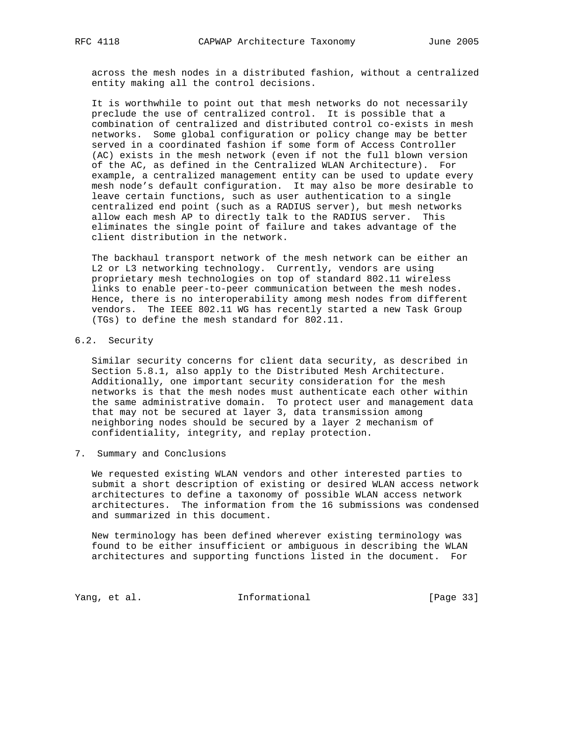across the mesh nodes in a distributed fashion, without a centralized entity making all the control decisions.

 It is worthwhile to point out that mesh networks do not necessarily preclude the use of centralized control. It is possible that a combination of centralized and distributed control co-exists in mesh networks. Some global configuration or policy change may be better served in a coordinated fashion if some form of Access Controller (AC) exists in the mesh network (even if not the full blown version of the AC, as defined in the Centralized WLAN Architecture). For example, a centralized management entity can be used to update every mesh node's default configuration. It may also be more desirable to leave certain functions, such as user authentication to a single centralized end point (such as a RADIUS server), but mesh networks allow each mesh AP to directly talk to the RADIUS server. This eliminates the single point of failure and takes advantage of the client distribution in the network.

 The backhaul transport network of the mesh network can be either an L2 or L3 networking technology. Currently, vendors are using proprietary mesh technologies on top of standard 802.11 wireless links to enable peer-to-peer communication between the mesh nodes. Hence, there is no interoperability among mesh nodes from different vendors. The IEEE 802.11 WG has recently started a new Task Group (TGs) to define the mesh standard for 802.11.

# 6.2. Security

 Similar security concerns for client data security, as described in Section 5.8.1, also apply to the Distributed Mesh Architecture. Additionally, one important security consideration for the mesh networks is that the mesh nodes must authenticate each other within the same administrative domain. To protect user and management data that may not be secured at layer 3, data transmission among neighboring nodes should be secured by a layer 2 mechanism of confidentiality, integrity, and replay protection.

7. Summary and Conclusions

 We requested existing WLAN vendors and other interested parties to submit a short description of existing or desired WLAN access network architectures to define a taxonomy of possible WLAN access network architectures. The information from the 16 submissions was condensed and summarized in this document.

 New terminology has been defined wherever existing terminology was found to be either insufficient or ambiguous in describing the WLAN architectures and supporting functions listed in the document. For

Yang, et al. 10. Informational 1. [Page 33]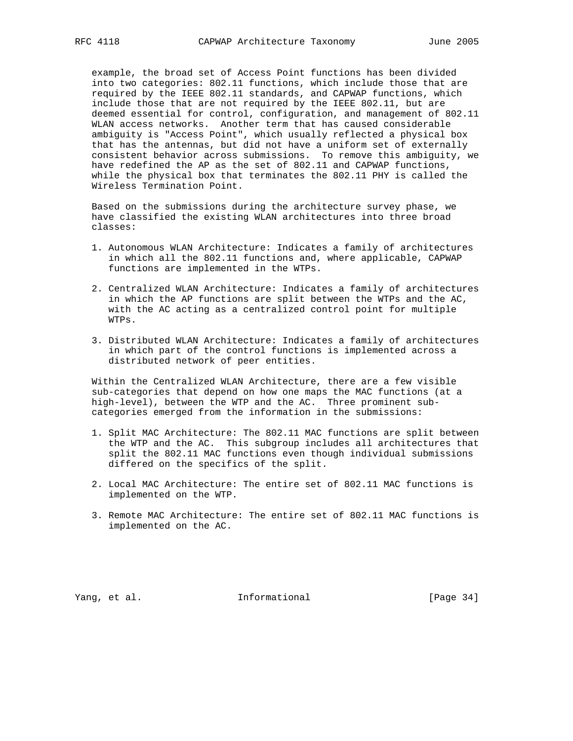example, the broad set of Access Point functions has been divided into two categories: 802.11 functions, which include those that are required by the IEEE 802.11 standards, and CAPWAP functions, which include those that are not required by the IEEE 802.11, but are deemed essential for control, configuration, and management of 802.11 WLAN access networks. Another term that has caused considerable ambiguity is "Access Point", which usually reflected a physical box that has the antennas, but did not have a uniform set of externally consistent behavior across submissions. To remove this ambiguity, we have redefined the AP as the set of 802.11 and CAPWAP functions, while the physical box that terminates the 802.11 PHY is called the Wireless Termination Point.

 Based on the submissions during the architecture survey phase, we have classified the existing WLAN architectures into three broad classes:

- 1. Autonomous WLAN Architecture: Indicates a family of architectures in which all the 802.11 functions and, where applicable, CAPWAP functions are implemented in the WTPs.
- 2. Centralized WLAN Architecture: Indicates a family of architectures in which the AP functions are split between the WTPs and the AC, with the AC acting as a centralized control point for multiple WTPs.
- 3. Distributed WLAN Architecture: Indicates a family of architectures in which part of the control functions is implemented across a distributed network of peer entities.

 Within the Centralized WLAN Architecture, there are a few visible sub-categories that depend on how one maps the MAC functions (at a high-level), between the WTP and the AC. Three prominent sub categories emerged from the information in the submissions:

- 1. Split MAC Architecture: The 802.11 MAC functions are split between the WTP and the AC. This subgroup includes all architectures that split the 802.11 MAC functions even though individual submissions differed on the specifics of the split.
- 2. Local MAC Architecture: The entire set of 802.11 MAC functions is implemented on the WTP.
- 3. Remote MAC Architecture: The entire set of 802.11 MAC functions is implemented on the AC.

Yang, et al. 10. Informational 1. [Page 34]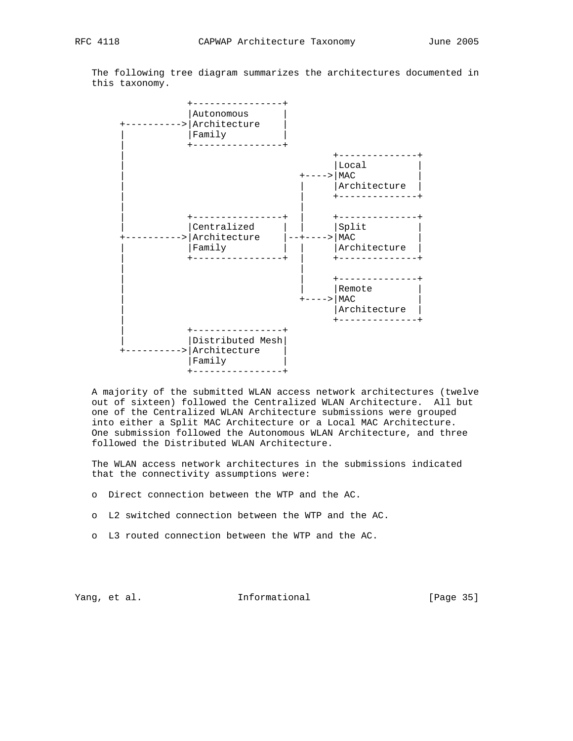The following tree diagram summarizes the architectures documented in this taxonomy.



 A majority of the submitted WLAN access network architectures (twelve out of sixteen) followed the Centralized WLAN Architecture. All but one of the Centralized WLAN Architecture submissions were grouped into either a Split MAC Architecture or a Local MAC Architecture. One submission followed the Autonomous WLAN Architecture, and three followed the Distributed WLAN Architecture.

 The WLAN access network architectures in the submissions indicated that the connectivity assumptions were:

- o Direct connection between the WTP and the AC.
- o L2 switched connection between the WTP and the AC.
- o L3 routed connection between the WTP and the AC.

Yang, et al. 10. Informational 1. [Page 35]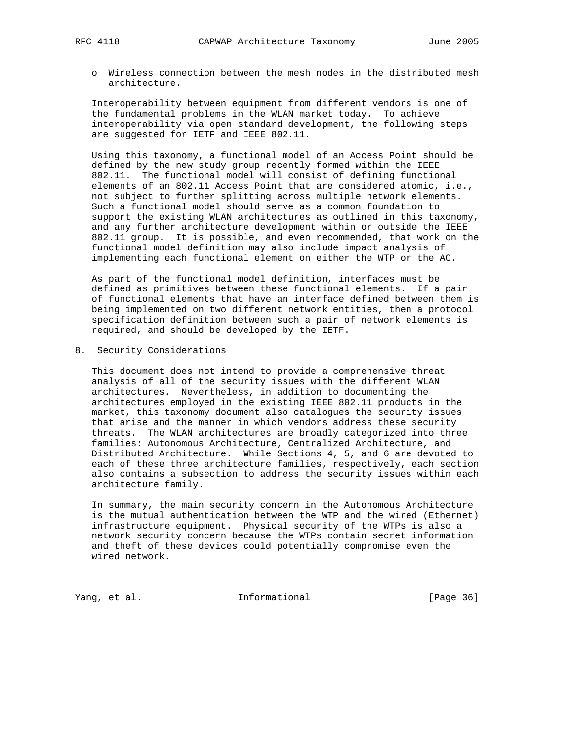o Wireless connection between the mesh nodes in the distributed mesh architecture.

 Interoperability between equipment from different vendors is one of the fundamental problems in the WLAN market today. To achieve interoperability via open standard development, the following steps are suggested for IETF and IEEE 802.11.

 Using this taxonomy, a functional model of an Access Point should be defined by the new study group recently formed within the IEEE 802.11. The functional model will consist of defining functional elements of an 802.11 Access Point that are considered atomic, i.e., not subject to further splitting across multiple network elements. Such a functional model should serve as a common foundation to support the existing WLAN architectures as outlined in this taxonomy, and any further architecture development within or outside the IEEE 802.11 group. It is possible, and even recommended, that work on the functional model definition may also include impact analysis of implementing each functional element on either the WTP or the AC.

 As part of the functional model definition, interfaces must be defined as primitives between these functional elements. If a pair of functional elements that have an interface defined between them is being implemented on two different network entities, then a protocol specification definition between such a pair of network elements is required, and should be developed by the IETF.

8. Security Considerations

 This document does not intend to provide a comprehensive threat analysis of all of the security issues with the different WLAN architectures. Nevertheless, in addition to documenting the architectures employed in the existing IEEE 802.11 products in the market, this taxonomy document also catalogues the security issues that arise and the manner in which vendors address these security threats. The WLAN architectures are broadly categorized into three families: Autonomous Architecture, Centralized Architecture, and Distributed Architecture. While Sections 4, 5, and 6 are devoted to each of these three architecture families, respectively, each section also contains a subsection to address the security issues within each architecture family.

 In summary, the main security concern in the Autonomous Architecture is the mutual authentication between the WTP and the wired (Ethernet) infrastructure equipment. Physical security of the WTPs is also a network security concern because the WTPs contain secret information and theft of these devices could potentially compromise even the wired network.

Yang, et al. 10 Informational 11 [Page 36]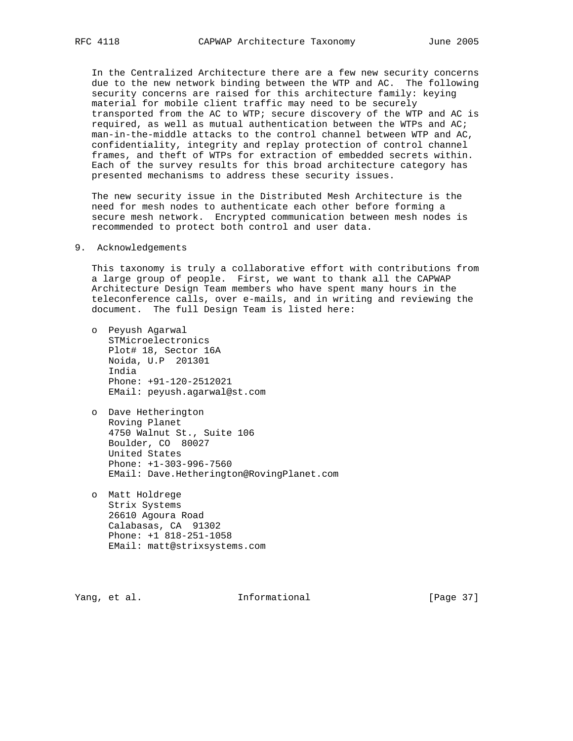In the Centralized Architecture there are a few new security concerns due to the new network binding between the WTP and AC. The following security concerns are raised for this architecture family: keying material for mobile client traffic may need to be securely transported from the AC to WTP; secure discovery of the WTP and AC is required, as well as mutual authentication between the WTPs and AC; man-in-the-middle attacks to the control channel between WTP and AC, confidentiality, integrity and replay protection of control channel frames, and theft of WTPs for extraction of embedded secrets within. Each of the survey results for this broad architecture category has presented mechanisms to address these security issues.

 The new security issue in the Distributed Mesh Architecture is the need for mesh nodes to authenticate each other before forming a secure mesh network. Encrypted communication between mesh nodes is recommended to protect both control and user data.

## 9. Acknowledgements

 This taxonomy is truly a collaborative effort with contributions from a large group of people. First, we want to thank all the CAPWAP Architecture Design Team members who have spent many hours in the teleconference calls, over e-mails, and in writing and reviewing the document. The full Design Team is listed here:

- o Peyush Agarwal STMicroelectronics Plot# 18, Sector 16A Noida, U.P 201301 India Phone: +91-120-2512021 EMail: peyush.agarwal@st.com
- o Dave Hetherington Roving Planet 4750 Walnut St., Suite 106 Boulder, CO 80027 United States Phone: +1-303-996-7560 EMail: Dave.Hetherington@RovingPlanet.com
- o Matt Holdrege Strix Systems 26610 Agoura Road Calabasas, CA 91302 Phone: +1 818-251-1058 EMail: matt@strixsystems.com

Yang, et al. **Informational** [Page 37]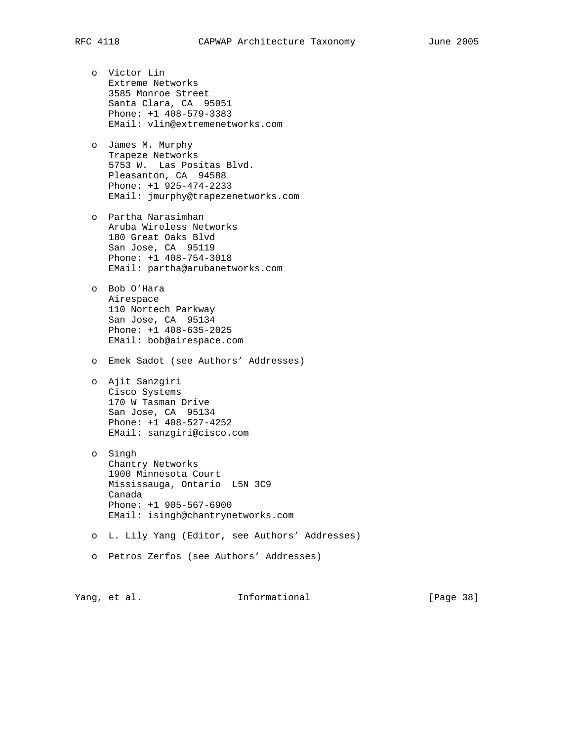- - o Victor Lin Extreme Networks 3585 Monroe Street Santa Clara, CA 95051 Phone: +1 408-579-3383 EMail: vlin@extremenetworks.com
	- o James M. Murphy Trapeze Networks 5753 W. Las Positas Blvd. Pleasanton, CA 94588 Phone: +1 925-474-2233 EMail: jmurphy@trapezenetworks.com
	- o Partha Narasimhan Aruba Wireless Networks 180 Great Oaks Blvd San Jose, CA 95119 Phone: +1 408-754-3018 EMail: partha@arubanetworks.com
	- o Bob O'Hara Airespace 110 Nortech Parkway San Jose, CA 95134 Phone: +1 408-635-2025 EMail: bob@airespace.com
	- o Emek Sadot (see Authors' Addresses)
	- o Ajit Sanzgiri Cisco Systems 170 W Tasman Drive San Jose, CA 95134 Phone: +1 408-527-4252 EMail: sanzgiri@cisco.com
	- o Singh Chantry Networks 1900 Minnesota Court Mississauga, Ontario L5N 3C9 Canada Phone: +1 905-567-6900 EMail: isingh@chantrynetworks.com
	- o L. Lily Yang (Editor, see Authors' Addresses)
	- o Petros Zerfos (see Authors' Addresses)

Yang, et al. **Informational** [Page 38]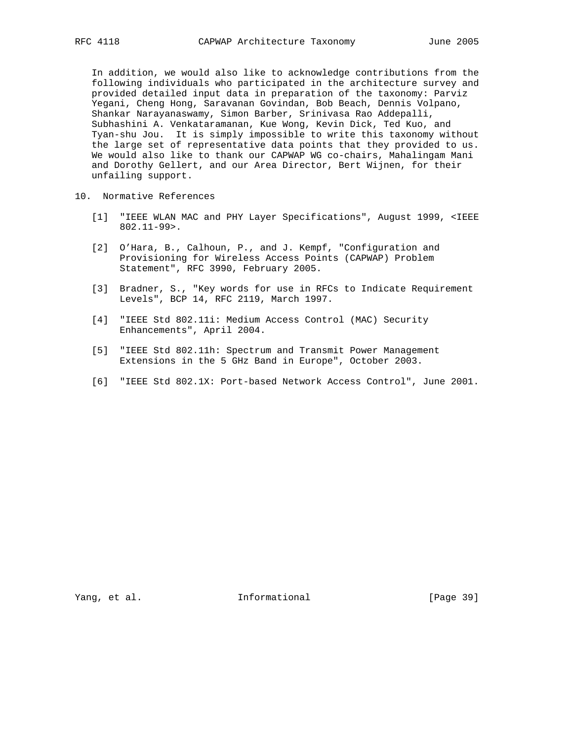In addition, we would also like to acknowledge contributions from the following individuals who participated in the architecture survey and provided detailed input data in preparation of the taxonomy: Parviz Yegani, Cheng Hong, Saravanan Govindan, Bob Beach, Dennis Volpano, Shankar Narayanaswamy, Simon Barber, Srinivasa Rao Addepalli, Subhashini A. Venkataramanan, Kue Wong, Kevin Dick, Ted Kuo, and Tyan-shu Jou. It is simply impossible to write this taxonomy without the large set of representative data points that they provided to us. We would also like to thank our CAPWAP WG co-chairs, Mahalingam Mani and Dorothy Gellert, and our Area Director, Bert Wijnen, for their unfailing support.

- 10. Normative References
	- [1] "IEEE WLAN MAC and PHY Layer Specifications", August 1999, <IEEE 802.11-99>.
	- [2] O'Hara, B., Calhoun, P., and J. Kempf, "Configuration and Provisioning for Wireless Access Points (CAPWAP) Problem Statement", RFC 3990, February 2005.
	- [3] Bradner, S., "Key words for use in RFCs to Indicate Requirement Levels", BCP 14, RFC 2119, March 1997.
	- [4] "IEEE Std 802.11i: Medium Access Control (MAC) Security Enhancements", April 2004.
	- [5] "IEEE Std 802.11h: Spectrum and Transmit Power Management Extensions in the 5 GHz Band in Europe", October 2003.
	- [6] "IEEE Std 802.1X: Port-based Network Access Control", June 2001.

Yang, et al. 10. Informational 1. [Page 39]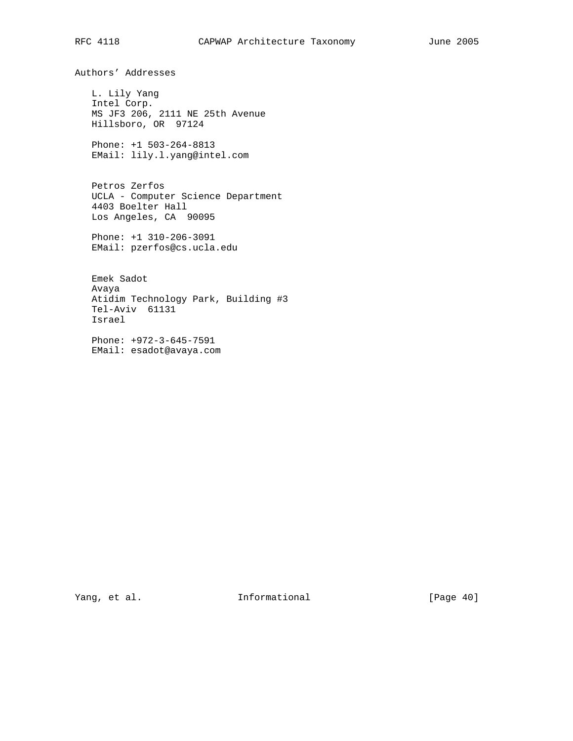Authors' Addresses

 L. Lily Yang Intel Corp. MS JF3 206, 2111 NE 25th Avenue Hillsboro, OR 97124

 Phone: +1 503-264-8813 EMail: lily.l.yang@intel.com

 Petros Zerfos UCLA - Computer Science Department 4403 Boelter Hall Los Angeles, CA 90095

 Phone: +1 310-206-3091 EMail: pzerfos@cs.ucla.edu

 Emek Sadot Avaya Atidim Technology Park, Building #3 Tel-Aviv 61131 Israel

 Phone: +972-3-645-7591 EMail: esadot@avaya.com

Yang, et al. 100 Informational 100 Informational [Page 40]